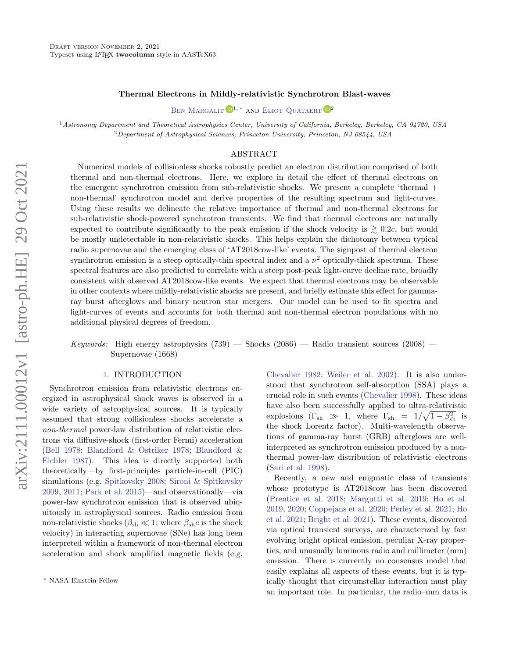### Thermal Electrons in Mildly-relativistic Synchrotron Blast-waves

BEN MARGALIT  $\mathbf{D}^{1,*}$  and [Eliot Quataert](http://orcid.org/0000-0001-9185-5044)  $\mathbf{D}^{2}$ 

<sup>1</sup> Astronomy Department and Theoretical Astrophysics Center, University of California, Berkeley, Berkeley, CA 94720, USA <sup>2</sup>Department of Astrophysical Sciences, Princeton University, Princeton, NJ 08544, USA

# ABSTRACT

Numerical models of collisionless shocks robustly predict an electron distribution comprised of both thermal and non-thermal electrons. Here, we explore in detail the effect of thermal electrons on the emergent synchrotron emission from sub-relativistic shocks. We present a complete 'thermal + non-thermal' synchrotron model and derive properties of the resulting spectrum and light-curves. Using these results we delineate the relative importance of thermal and non-thermal electrons for sub-relativistic shock-powered synchrotron transients. We find that thermal electrons are naturally expected to contribute significantly to the peak emission if the shock velocity is  $\geq 0.2c$ , but would be mostly undetectable in non-relativistic shocks. This helps explain the dichotomy between typical radio supernovae and the emerging class of 'AT2018cow-like' events. The signpost of thermal electron synchrotron emission is a steep optically-thin spectral index and a  $\nu^2$  optically-thick spectrum. These spectral features are also predicted to correlate with a steep post-peak light-curve decline rate, broadly consistent with observed AT2018cow-like events. We expect that thermal electrons may be observable in other contexts where mildly-relativistic shocks are present, and briefly estimate this effect for gammaray burst afterglows and binary neutron star mergers. Our model can be used to fit spectra and light-curves of events and accounts for both thermal and non-thermal electron populations with no additional physical degrees of freedom.

Keywords: High energy astrophysics  $(739)$  — Shocks  $(2086)$  — Radio transient sources  $(2008)$  — Supernovae (1668)

# 1. INTRODUCTION

Synchrotron emission from relativistic electrons energized in astrophysical shock waves is observed in a wide variety of astrophysical sources. It is typically assumed that strong collisionless shocks accelerate a non-thermal power-law distribution of relativistic electrons via diffusive-shock (first-order Fermi) acceleration [\(Bell](#page-13-0) [1978;](#page-13-0) [Blandford & Ostriker](#page-13-1) [1978;](#page-13-1) [Blandford &](#page-13-2) [Eichler](#page-13-2) [1987\)](#page-13-2). This idea is directly supported both theoretically—by first-principles particle-in-cell (PIC) simulations (e.g. [Spitkovsky](#page-14-0) [2008;](#page-14-0) [Sironi & Spitkovsky](#page-14-1) [2009,](#page-14-1) [2011;](#page-14-2) [Park et al.](#page-14-3) [2015\)](#page-14-3)—and observationally—via power-law synchrotron emission that is observed ubiquitously in astrophysical sources. Radio emission from non-relativistic shocks ( $\beta_{\rm sh} \ll 1$ ; where  $\beta_{\rm sh} c$  is the shock velocity) in interacting supernovae (SNe) has long been interpreted within a framework of non-thermal electron acceleration and shock amplified magnetic fields (e.g.

[Chevalier](#page-13-3) [1982;](#page-13-3) [Weiler et al.](#page-14-4) [2002\)](#page-14-4). It is also understood that synchrotron self-absorption (SSA) plays a crucial role in such events [\(Chevalier](#page-13-4) [1998\)](#page-13-4). These ideas have also been successfully applied to ultra-relativistic explosions  $(\Gamma_{sh} \gg 1, \text{ where } \Gamma_{sh} = 1/\sqrt{1-\beta_{sh}^2} \text{ is}$ the shock Lorentz factor). Multi-wavelength observations of gamma-ray burst (GRB) afterglows are wellinterpreted as synchrotron emission produced by a nonthermal power-law distribution of relativistic electrons [\(Sari et al.](#page-14-5) [1998\)](#page-14-5).

Recently, a new and enigmatic class of transients whose prototype is AT2018cow has been discovered [\(Prentice et al.](#page-14-6) [2018;](#page-14-6) [Margutti et al.](#page-14-7) [2019;](#page-14-7) [Ho et al.](#page-14-8) [2019,](#page-14-8) [2020;](#page-14-9) [Coppejans et al.](#page-13-5) [2020;](#page-13-5) [Perley et al.](#page-14-10) [2021;](#page-14-10) [Ho](#page-14-11) [et al.](#page-14-11) [2021;](#page-14-11) [Bright et al.](#page-13-6) [2021\)](#page-13-6). These events, discovered via optical transient surveys, are characterized by fast evolving bright optical emission, peculiar X-ray properties, and unusually luminous radio and millimeter (mm) emission. There is currently no consensus model that easily explains all aspects of these events, but it is typically thought that circumstellar interaction must play an important role. In particular, the radio–mm data is

<span id="page-0-0"></span><sup>∗</sup> NASA Einstein Fellow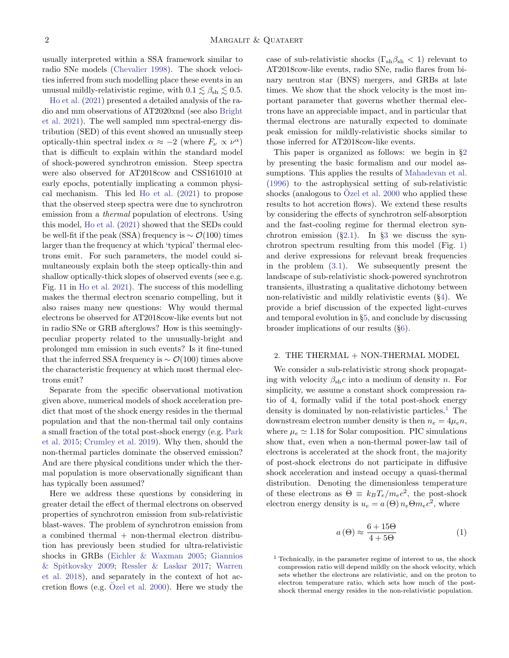usually interpreted within a SSA framework similar to radio SNe models [\(Chevalier](#page-13-4) [1998\)](#page-13-4). The shock velocities inferred from such modelling place these events in an unusual mildly-relativistic regime, with  $0.1 \lesssim \beta_{\rm sh} \lesssim 0.5$ .

[Ho et al.](#page-14-11) [\(2021\)](#page-14-11) presented a detailed analysis of the radio and mm observations of AT2020xnd (see also [Bright](#page-13-6) [et al.](#page-13-6) [2021\)](#page-13-6). The well sampled mm spectral-energy distribution (SED) of this event showed an unusually steep optically-thin spectral index  $\alpha \approx -2$  (where  $F_{\nu} \propto \nu^{\alpha}$ ) that is difficult to explain within the standard model of shock-powered synchrotron emission. Steep spectra were also observed for AT2018cow and CSS161010 at early epochs, potentially implicating a common physical mechanism. This led [Ho et al.](#page-14-11) [\(2021\)](#page-14-11) to propose that the observed steep spectra were due to synchrotron emission from a thermal population of electrons. Using this model, [Ho et al.](#page-14-11) [\(2021\)](#page-14-11) showed that the SEDs could be well-fit if the peak (SSA) frequency is  $\sim \mathcal{O}(100)$  times larger than the frequency at which 'typical' thermal electrons emit. For such parameters, the model could simultaneously explain both the steep optically-thin and shallow optically-thick slopes of observed events (see e.g. Fig. 11 in [Ho et al.](#page-14-11) [2021\)](#page-14-11). The success of this modelling makes the thermal electron scenario compelling, but it also raises many new questions: Why would thermal electrons be observed for AT2018cow-like events but not in radio SNe or GRB afterglows? How is this seeminglypeculiar property related to the unusually-bright and prolonged mm emission in such events? Is it fine-tuned that the inferred SSA frequency is  $\sim \mathcal{O}(100)$  times above the characteristic frequency at which most thermal electrons emit?

Separate from the specific observational motivation given above, numerical models of shock acceleration predict that most of the shock energy resides in the thermal population and that the non-thermal tail only contains a small fraction of the total post-shock energy (e.g. [Park](#page-14-3) [et al.](#page-14-3) [2015;](#page-14-3) [Crumley et al.](#page-13-7) [2019\)](#page-13-7). Why then, should the non-thermal particles dominate the observed emission? And are there physical conditions under which the thermal population is more observationally significant than has typically been assumed?

Here we address these questions by considering in greater detail the effect of thermal electrons on observed properties of synchrotron emission from sub-relativistic blast-waves. The problem of synchrotron emission from  $a$  combined thermal  $+$  non-thermal electron distribution has previously been studied for ultra-relativistic shocks in GRBs [\(Eichler & Waxman](#page-14-12) [2005;](#page-14-12) [Giannios](#page-14-13) [& Spitkovsky](#page-14-13) [2009;](#page-14-13) [Ressler & Laskar](#page-14-14) [2017;](#page-14-14) [Warren](#page-14-15) [et al.](#page-14-15) [2018\)](#page-14-15), and separately in the context of hot accretion flows (e.g.  $\ddot{O}$ zel et al. [2000\)](#page-14-16). Here we study the case of sub-relativistic shocks ( $\Gamma_{sh}\beta_{sh} < 1$ ) relevant to AT2018cow-like events, radio SNe, radio flares from binary neutron star (BNS) mergers, and GRBs at late times. We show that the shock velocity is the most important parameter that governs whether thermal electrons have an appreciable impact, and in particular that thermal electrons are naturally expected to dominate peak emission for mildly-relativistic shocks similar to those inferred for AT2018cow-like events.

This paper is organized as follows: we begin in §[2](#page-1-0) by presenting the basic formalism and our model assumptions. This applies the results of [Mahadevan et al.](#page-14-17) [\(1996\)](#page-14-17) to the astrophysical setting of sub-relativistic shocks (analogous to  $\ddot{O}$ zel et al. [2000](#page-14-16) who applied these results to hot accretion flows). We extend these results by considering the effects of synchrotron self-absorption and the fast-cooling regime for thermal electron synchrotron emission  $(\S2.1)$  $(\S2.1)$ . In  $\S3$  $\S3$  we discuss the synchrotron spectrum resulting from this model (Fig. [1\)](#page-4-0) and derive expressions for relevant break frequencies in the problem [\(3.1\)](#page-5-0). We subsequently present the landscape of sub-relativistic shock-powered synchrotron transients, illustrating a qualitative dichotomy between non-relativistic and mildly relativistic events (§[4\)](#page-6-0). We provide a brief discussion of the expected light-curves and temporal evolution in §[5,](#page-8-0) and conclude by discussing broader implications of our results (§[6\)](#page-10-0).

# <span id="page-1-0"></span>2. THE THERMAL  $+$  NON-THERMAL MODEL

We consider a sub-relativistic strong shock propagating with velocity  $\beta_{\rm sh}c$  into a medium of density n. For simplicity, we assume a constant shock compression ratio of 4, formally valid if the total post-shock energy density is dominated by non-relativistic particles.<sup>[1](#page-1-1)</sup> The downstream electron number density is then  $n_e = 4\mu_e n$ , where  $\mu_e \simeq 1.18$  for Solar composition. PIC simulations show that, even when a non-thermal power-law tail of electrons is accelerated at the shock front, the majority of post-shock electrons do not participate in diffusive shock acceleration and instead occupy a quasi-thermal distribution. Denoting the dimensionless temperature of these electrons as  $\Theta \equiv k_B T_e / m_e c^2$ , the post-shock electron energy density is  $u_e = a(\Theta) n_e \Theta m_e c^2$ , where

$$
a\left(\Theta\right) \approx \frac{6+15\Theta}{4+5\Theta} \tag{1}
$$

<span id="page-1-1"></span> $<sup>1</sup>$  Technically, in the parameter regime of interest to us, the shock</sup> compression ratio will depend mildly on the shock velocity, which sets whether the electrons are relativistic, and on the proton to electron temperature ratio, which sets how much of the postshock thermal energy resides in the non-relativistic population.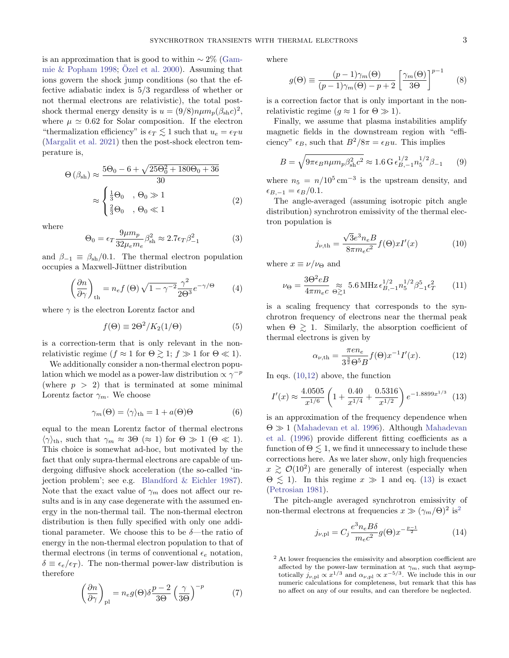is an approximation that is good to within  $\sim 2\%$  [\(Gam](#page-14-18)[mie & Popham](#page-14-18) [1998;](#page-14-18) Özel et al. [2000\)](#page-14-16). Assuming that ions govern the shock jump conditions (so that the effective adiabatic index is 5/3 regardless of whether or not thermal electrons are relativistic), the total postshock thermal energy density is  $u = (9/8)n \mu m_p (\beta_{\rm sh} c)^2$ , where  $\mu \simeq 0.62$  for Solar composition. If the electron "thermalization efficiency" is  $\epsilon_T \lesssim 1$  such that  $u_e = \epsilon_T u$ [\(Margalit et al.](#page-14-19) [2021\)](#page-14-19) then the post-shock electron temperature is,

$$
\Theta(\beta_{sh}) \approx \frac{5\Theta_0 - 6 + \sqrt{25\Theta_0^2 + 180\Theta_0 + 36}}{30}
$$

$$
\approx \begin{cases} \frac{1}{3}\Theta_0, & \Theta_0 \gg 1\\ \frac{2}{3}\Theta_0, & \Theta_0 \ll 1 \end{cases}
$$
(2)

where

<span id="page-2-8"></span>
$$
\Theta_0 = \epsilon_T \frac{9\mu m_p}{32\mu_e m_e} \beta_{\rm sh}^2 \approx 2.7 \epsilon_T \beta_{-1}^2 \tag{3}
$$

and  $\beta_{-1} \equiv \beta_{\rm sh}/0.1$ . The thermal electron population occupies a Maxwell-Jüttner distribution

$$
\left(\frac{\partial n}{\partial \gamma}\right)_{\text{th}} = n_e f\left(\Theta\right) \sqrt{1 - \gamma^{-2}} \frac{\gamma^2}{2\Theta^3} e^{-\gamma/\Theta} \tag{4}
$$

where  $\gamma$  is the electron Lorentz factor and

$$
f(\Theta) \equiv 2\Theta^2 / K_2(1/\Theta) \tag{5}
$$

is a correction-term that is only relevant in the nonrelativistic regime ( $f \approx 1$  for  $\Theta \gtrsim 1$ ;  $f \gg 1$  for  $\Theta \ll 1$ ).

We additionally consider a non-thermal electron population which we model as a power-law distribution  $\propto \gamma^{-p}$ (where  $p > 2$ ) that is terminated at some minimal Lorentz factor  $\gamma_m$ . We choose

<span id="page-2-6"></span>
$$
\gamma_m(\Theta) = \langle \gamma \rangle_{\text{th}} = 1 + a(\Theta)\Theta \tag{6}
$$

equal to the mean Lorentz factor of thermal electrons  $\langle \gamma \rangle_{\text{th}}$ , such that  $\gamma_m \approx 3\Theta$  ( $\approx 1$ ) for  $\Theta \gg 1$  ( $\Theta \ll 1$ ). This choice is somewhat ad-hoc, but motivated by the fact that only supra-thermal electrons are capable of undergoing diffusive shock acceleration (the so-called 'injection problem'; see e.g. [Blandford & Eichler](#page-13-2) [1987\)](#page-13-2). Note that the exact value of  $\gamma_m$  does not affect our results and is in any case degenerate with the assumed energy in the non-thermal tail. The non-thermal electron distribution is then fully specified with only one additional parameter. We choose this to be  $\delta$ —the ratio of energy in the non-thermal electron population to that of thermal electrons (in terms of conventional  $\epsilon_e$  notation,  $\delta \equiv \epsilon_e/\epsilon_T$ ). The non-thermal power-law distribution is therefore

$$
\left(\frac{\partial n}{\partial \gamma}\right)_{\text{pl}} = n_e g(\Theta) \delta \frac{p-2}{3\Theta} \left(\frac{\gamma}{3\Theta}\right)^{-p} \tag{7}
$$

where

$$
g(\Theta) \equiv \frac{(p-1)\gamma_m(\Theta)}{(p-1)\gamma_m(\Theta) - p + 2} \left[ \frac{\gamma_m(\Theta)}{3\Theta} \right]^{p-1}
$$
 (8)

is a correction factor that is only important in the nonrelativistic regime  $(g \approx 1 \text{ for } \Theta \gg 1)$ .

Finally, we assume that plasma instabilities amplify magnetic fields in the downstream region with "efficiency"  $\epsilon_B$ , such that  $B^2/8\pi = \epsilon_B u$ . This implies

$$
B = \sqrt{9\pi\epsilon_B n \mu m_p \beta_{\rm sh}^2 c^2} \approx 1.6 \,\mathrm{G} \,\epsilon_{B,-1}^{1/2} n_5^{1/2} \beta_{-1} \qquad (9)
$$

where  $n_5 = n/10^5 \,\mathrm{cm}^{-3}$  is the upstream density, and  $\epsilon_{B,-1} = \epsilon_B/0.1$ .

<span id="page-2-7"></span>The angle-averaged (assuming isotropic pitch angle distribution) synchrotron emissivity of the thermal electron population is

<span id="page-2-9"></span><span id="page-2-5"></span><span id="page-2-0"></span>
$$
j_{\nu,th} = \frac{\sqrt{3}e^3 n_e B}{8\pi m_e c^2} f(\Theta) x I'(x)
$$
 (10)

<span id="page-2-10"></span>where  $x \equiv \nu/\nu_{\Theta}$  and

$$
\nu_{\Theta} = \frac{3\Theta^2 eB}{4\pi m_e c} \underset{\Theta \gtrsim 1}{\approx} 5.6 \,\text{MHz} \,\epsilon_{B,-1}^{1/2} n_5^{1/2} \beta_{-1}^5 \epsilon_T^2 \qquad (11)
$$

is a scaling frequency that corresponds to the synchrotron frequency of electrons near the thermal peak when  $\Theta \geq 1$ . Similarly, the absorption coefficient of thermal electrons is given by

<span id="page-2-2"></span><span id="page-2-1"></span>
$$
\alpha_{\nu, \text{th}} = \frac{\pi e n_e}{3^{\frac{3}{2}} \Theta^5 B} f(\Theta) x^{-1} I'(x). \tag{12}
$$

In eqs.  $(10.12)$  $(10.12)$  above, the function

$$
I'(x) \approx \frac{4.0505}{x^{1/6}} \left( 1 + \frac{0.40}{x^{1/4}} + \frac{0.5316}{x^{1/2}} \right) e^{-1.8899x^{1/3}} \tag{13}
$$

is an approximation of the frequency dependence when  $\Theta \gg 1$  [\(Mahadevan et al.](#page-14-17) [1996\)](#page-14-17). Although [Mahadevan](#page-14-17) [et al.](#page-14-17) [\(1996\)](#page-14-17) provide different fitting coefficients as a function of  $\Theta \leq 1$ , we find it unnecessary to include these corrections here. As we later show, only high frequencies  $x \geq \mathcal{O}(10^2)$  are generally of interest (especially when  $\Theta \lesssim 1$ ). In this regime  $x \gg 1$  and eq. [\(13\)](#page-2-2) is exact [\(Petrosian](#page-14-20) [1981\)](#page-14-20).

The pitch-angle averaged synchrotron emissivity of non-thermal electrons at frequencies  $x \gg (\gamma_m/\Theta)^2$  $x \gg (\gamma_m/\Theta)^2$  is<sup>2</sup>

<span id="page-2-4"></span>
$$
j_{\nu,\text{pl}} = C_j \frac{e^3 n_e B \delta}{m_e c^2} g(\Theta) x^{-\frac{p-1}{2}}
$$
(14)

<span id="page-2-3"></span> $2$  At lower frequencies the emissivity and absorption coefficient are affected by the power-law termination at  $\gamma_m$ , such that asymptotically  $j_{\nu,pl} \propto x^{1/3}$  and  $\alpha_{\nu,pl} \propto x^{-5/3}$ . We include this in our numeric calculations for completeness, but remark that this has no affect on any of our results, and can therefore be neglected.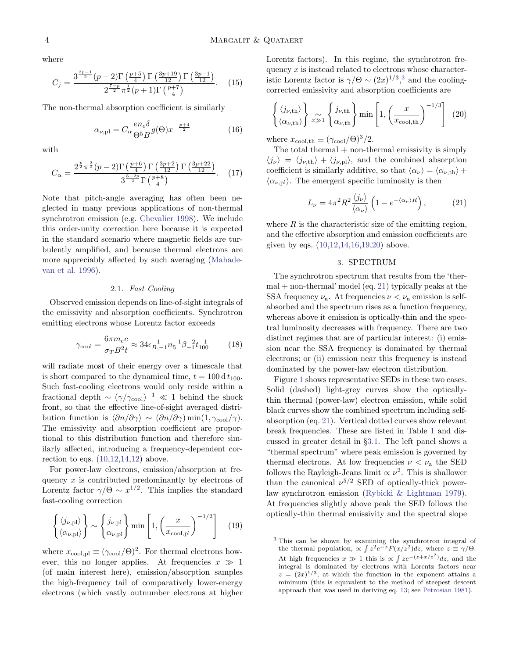where

$$
C_{j} = \frac{3^{\frac{2p-1}{2}}(p-2)\Gamma\left(\frac{p+5}{4}\right)\Gamma\left(\frac{3p+19}{12}\right)\Gamma\left(\frac{3p-1}{12}\right)}{2^{\frac{7-p}{2}}\pi^{\frac{1}{2}}(p+1)\Gamma\left(\frac{p+7}{4}\right)}.
$$
 (15)

The non-thermal absorption coefficient is similarly

$$
\alpha_{\nu,\text{pl}} = C_{\alpha} \frac{en_e \delta}{\Theta^5 B} g(\Theta) x^{-\frac{p+4}{2}} \tag{16}
$$

with

$$
C_{\alpha} = \frac{2^{\frac{p}{2}} \pi^{\frac{3}{2}} (p-2) \Gamma \left(\frac{p+6}{4}\right) \Gamma \left(\frac{3p+2}{12}\right) \Gamma \left(\frac{3p+22}{12}\right)}{3^{\frac{5-2p}{2}} \Gamma \left(\frac{p+8}{4}\right)}.
$$
 (17)

Note that pitch-angle averaging has often been neglected in many previous applications of non-thermal synchrotron emission (e.g. [Chevalier](#page-13-4) [1998\)](#page-13-4). We include this order-unity correction here because it is expected in the standard scenario where magnetic fields are turbulently amplified, and because thermal electrons are more appreciably affected by such averaging [\(Mahade](#page-14-17)[van et al.](#page-14-17) [1996\)](#page-14-17).

# 2.1. Fast Cooling

<span id="page-3-0"></span>Observed emission depends on line-of-sight integrals of the emissivity and absorption coefficients. Synchrotron emitting electrons whose Lorentz factor exceeds

$$
\gamma_{\text{cool}} = \frac{6\pi m_e c}{\sigma_T B^2 t} \approx 34 \epsilon_{B,-1}^{-1} n_5^{-1} \beta_{-1}^{-2} t_{100}^{-1} \tag{18}
$$

will radiate most of their energy over a timescale that is short compared to the dynamical time,  $t = 100 d t_{100}$ . Such fast-cooling electrons would only reside within a fractional depth  $\sim (\gamma/\gamma_{\rm cool})^{-1} \ll 1$  behind the shock front, so that the effective line-of-sight averaged distribution function is  $\langle \partial n/\partial \gamma \rangle \sim (\partial n/\partial \gamma) \min(1, \gamma_{\rm cool}/\gamma)$ . The emissivity and absorption coefficient are proportional to this distribution function and therefore similarly affected, introducing a frequency-dependent correction to eqs.  $(10,12,14,12)$  $(10,12,14,12)$  $(10,12,14,12)$  $(10,12,14,12)$  above.

For power-law electrons, emission/absorption at frequency  $x$  is contributed predominantly by electrons of Lorentz factor  $\gamma/\Theta \sim x^{1/2}$ . This implies the standard fast-cooling correction

<span id="page-3-4"></span>
$$
\left\{ \langle j_{\nu,\text{pl}} \rangle \atop \langle \alpha_{\nu,\text{pl}} \rangle \right\} \sim \left\{ j_{\nu,\text{pl}} \atop \alpha_{\nu,\text{pl}} \right\} \min \left[ 1, \left( \frac{x}{x_{\text{cool,pl}}} \right)^{-1/2} \right] \quad (19)
$$

where  $x_{\rm cool,pl} \equiv (\gamma_{\rm cool}/\Theta)^2$ . For thermal electrons however, this no longer applies. At frequencies  $x \gg 1$ (of main interest here), emission/absorption samples the high-frequency tail of comparatively lower-energy electrons (which vastly outnumber electrons at higher Lorentz factors). In this regime, the synchrotron frequency  $x$  is instead related to electrons whose characteristic Lorentz factor is  $\gamma/\Theta \sim (2x)^{1/3}$  $\gamma/\Theta \sim (2x)^{1/3}$  $\gamma/\Theta \sim (2x)^{1/3}$ ,<sup>3</sup> and the coolingcorrected emissivity and absorption coefficients are

<span id="page-3-5"></span><span id="page-3-3"></span>
$$
\left\{ \langle j_{\nu,th} \rangle \atop \langle \alpha_{\nu,th} \rangle \right\} \underset{x \gg 1}{\approx} \left\{ j_{\nu,th} \atop \alpha_{\nu,th} \right\} \min \left[ 1, \left( \frac{x}{x_{\text{cool,th}}} \right)^{-1/3} \right] (20)
$$

where  $x_{\text{cool,th}} \equiv (\gamma_{\text{cool}}/\Theta)^3/2$ .

The total thermal  $+$  non-thermal emissivity is simply  $\langle j_{\nu} \rangle = \langle j_{\nu,th} \rangle + \langle j_{\nu,pl} \rangle$ , and the combined absorption coefficient is similarly additive, so that  $\langle \alpha_{\nu} \rangle = \langle \alpha_{\nu,th} \rangle +$  $\langle \alpha_{\nu,pl} \rangle$ . The emergent specific luminosity is then

$$
L_{\nu} = 4\pi^2 R^2 \frac{\langle j_{\nu} \rangle}{\langle \alpha_{\nu} \rangle} \left( 1 - e^{-\langle \alpha_{\nu} \rangle R} \right), \tag{21}
$$

where  $R$  is the characteristic size of the emitting region, and the effective absorption and emission coefficients are given by eqs. [\(10,](#page-2-0)[12,](#page-2-1)[14](#page-2-4)[,16,](#page-3-3)[19,](#page-3-4)[20\)](#page-3-5) above.

## <span id="page-3-6"></span>3. SPECTRUM

<span id="page-3-7"></span><span id="page-3-1"></span>The synchrotron spectrum that results from the 'ther- $mal + non-thermal' model (eq. 21) typically peaks at the$  $mal + non-thermal' model (eq. 21) typically peaks at the$  $mal + non-thermal' model (eq. 21) typically peaks at the$ SSA frequency  $\nu_a$ . At frequencies  $\nu < \nu_a$  emission is selfabsorbed and the spectrum rises as a function frequency, whereas above it emission is optically-thin and the spectral luminosity decreases with frequency. There are two distinct regimes that are of particular interest: (i) emission near the SSA frequency is dominated by thermal electrons; or (ii) emission near this frequency is instead dominated by the power-law electron distribution.

Figure [1](#page-4-0) shows representative SEDs in these two cases. Solid (dashed) light-grey curves show the opticallythin thermal (power-law) electron emission, while solid black curves show the combined spectrum including selfabsorption (eq. [21\)](#page-3-6). Vertical dotted curves show relevant break frequencies. These are listed in Table [1](#page-6-1) and discussed in greater detail in §[3.1.](#page-5-0) The left panel shows a "thermal spectrum" where peak emission is governed by thermal electrons. At low frequencies  $\nu < \nu_a$  the SED follows the Rayleigh-Jeans limit  $\propto \nu^2$ . This is shallower than the canonical  $\nu^{5/2}$  SED of optically-thick powerlaw synchrotron emission [\(Rybicki & Lightman](#page-14-21) [1979\)](#page-14-21). At frequencies slightly above peak the SED follows the optically-thin thermal emissivity and the spectral slope

<span id="page-3-2"></span><sup>&</sup>lt;sup>3</sup> This can be shown by examining the synchrotron integral of the thermal population,  $\propto \int z^2 e^{-z} F(x/z^2) dz$ , where  $z \equiv \gamma/\Theta$ . At high frequencies  $x \gg 1$  this is  $\propto \int ze^{-(z+x/z^2)}dz$ , and the integral is dominated by electrons with Lorentz factors near  $z = (2x)^{1/3}$ , at which the function in the exponent attains a minimum (this is equivalent to the method of steepest descent approach that was used in deriving eq. [13;](#page-2-2) see [Petrosian](#page-14-20) [1981\)](#page-14-20).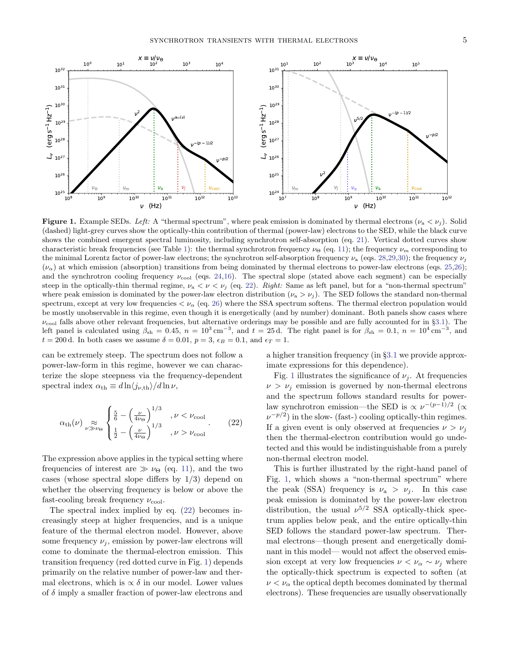

<span id="page-4-0"></span>**Figure 1.** Example SEDs. Left: A "thermal spectrum", where peak emission is dominated by thermal electrons ( $\nu_a < \nu_i$ ). Solid (dashed) light-grey curves show the optically-thin contribution of thermal (power-law) electrons to the SED, while the black curve shows the combined emergent spectral luminosity, including synchrotron self-absorption (eq. [21\)](#page-3-6). Vertical dotted curves show characteristic break frequencies (see Table [1\)](#page-6-1): the thermal synchrotron frequency  $\nu_{\Theta}$  (eq. [11\)](#page-2-5); the frequency  $\nu_m$  corresponding to the minimal Lorentz factor of power-law electrons; the synchrotron self-absorption frequency  $\nu_a$  (eqs. [28](#page-5-1)[,29,](#page-5-2)[30\)](#page-6-2); the frequency  $\nu_i$  $(\nu_{\alpha})$  at which emission (absorption) transitions from being dominated by thermal electrons to power-law electrons (eqs. [25,](#page-5-3)[26\)](#page-5-4); and the synchrotron cooling frequency  $\nu_{\rm cool}$  (eqs. [24](#page-5-5)[,16\)](#page-3-3). The spectral slope (stated above each segment) can be especially steep in the optically-thin thermal regime,  $\nu_a < \nu < \nu_j$  (eq. [22\)](#page-4-1). Right: Same as left panel, but for a "non-thermal spectrum" where peak emission is dominated by the power-law electron distribution  $(\nu_a > \nu_j)$ . The SED follows the standard non-thermal spectrum, except at very low frequencies  $\langle \nu_{\alpha}|$  (eq. [26\)](#page-5-4) where the SSA spectrum softens. The thermal electron population would be mostly unobservable in this regime, even though it is energetically (and by number) dominant. Both panels show cases where  $\nu_{\rm cool}$  falls above other relevant frequencies, but alternative orderings may be possible and are fully accounted for in §[3.1\)](#page-5-0). The left panel is calculated using  $\beta_{sh} = 0.45$ ,  $n = 10^3 \text{ cm}^{-3}$ , and  $t = 25 \text{ d}$ . The right panel is for  $\beta_{sh} = 0.1$ ,  $n = 10^4 \text{ cm}^{-3}$ , and  $t = 200$  d. In both cases we assume  $\delta = 0.01$ ,  $p = 3$ ,  $\epsilon_B = 0.1$ , and  $\epsilon_T = 1$ .

can be extremely steep. The spectrum does not follow a power-law-form in this regime, however we can characterize the slope steepness via the frequency-dependent spectral index  $\alpha_{\text{th}} \equiv d \ln \langle j_{\nu, \text{th}} \rangle / d \ln \nu$ ,

$$
\alpha_{\text{th}}(\nu) \underset{\nu \gg \nu_{\Theta}}{\approx} \begin{cases} \frac{5}{6} - \left(\frac{\nu}{4\nu_{\Theta}}\right)^{1/3} & , \nu < \nu_{\text{cool}} \\ \frac{1}{2} - \left(\frac{\nu}{4\nu_{\Theta}}\right)^{1/3} & , \nu > \nu_{\text{cool}} \end{cases} . \tag{22}
$$

The expression above applies in the typical setting where frequencies of interest are  $\gg \nu_{\Theta}$  (eq. [11\)](#page-2-5), and the two cases (whose spectral slope differs by 1/3) depend on whether the observing frequency is below or above the fast-cooling break frequency  $\nu_{\rm cool}$ .

The spectral index implied by eq. [\(22\)](#page-4-1) becomes increasingly steep at higher frequencies, and is a unique feature of the thermal electron model. However, above some frequency  $\nu_j$ , emission by power-law electrons will come to dominate the thermal-electron emission. This transition frequency (red dotted curve in Fig. [1\)](#page-4-0) depends primarily on the relative number of power-law and thermal electrons, which is  $\propto \delta$  in our model. Lower values of  $\delta$  imply a smaller fraction of power-law electrons and

a higher transition frequency (in §[3.1](#page-5-0) we provide approximate expressions for this dependence).

<span id="page-4-1"></span>Fig. [1](#page-4-0) illustrates the significance of  $\nu_i$ . At frequencies  $\nu > \nu_i$  emission is governed by non-thermal electrons and the spectrum follows standard results for powerlaw synchrotron emission—the SED is  $\propto \nu^{-(p-1)/2}$  ( $\propto$  $\nu^{-p/2}$ ) in the slow- (fast-) cooling optically-thin regimes. If a given event is only observed at frequencies  $\nu > \nu_i$ then the thermal-electron contribution would go undetected and this would be indistinguishable from a purely non-thermal electron model.

This is further illustrated by the right-hand panel of Fig. [1,](#page-4-0) which shows a "non-thermal spectrum" where the peak (SSA) frequency is  $\nu_a > \nu_j$ . In this case peak emission is dominated by the power-law electron distribution, the usual  $\nu^{5/2}$  SSA optically-thick spectrum applies below peak, and the entire optically-thin SED follows the standard power-law spectrum. Thermal electrons—though present and energetically dominant in this model— would not affect the observed emission except at very low frequencies  $\nu < \nu_\alpha \sim \nu_j$  where the optically-thick spectrum is expected to soften (at  $\nu < \nu_{\alpha}$  the optical depth becomes dominated by thermal electrons). These frequencies are usually observationally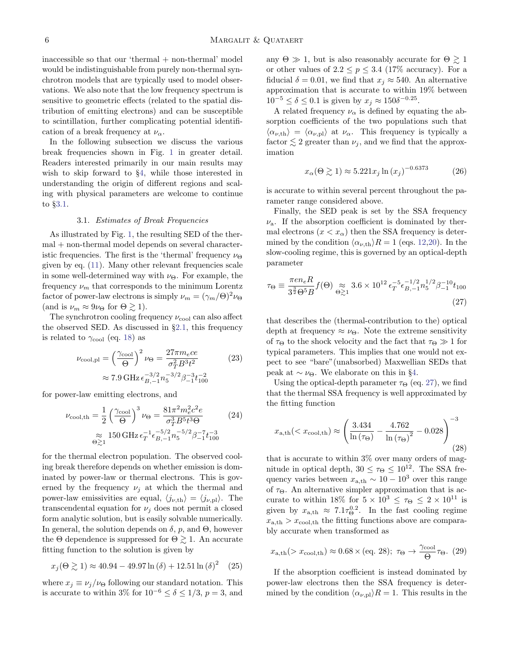$inaccessible$  so that our 'thermal  $+$  non-thermal' model would be indistinguishable from purely non-thermal synchrotron models that are typically used to model observations. We also note that the low frequency spectrum is sensitive to geometric effects (related to the spatial distribution of emitting electrons) and can be susceptible to scintillation, further complicating potential identification of a break frequency at  $\nu_{\alpha}$ .

In the following subsection we discuss the various break frequencies shown in Fig. [1](#page-4-0) in greater detail. Readers interested primarily in our main results may wish to skip forward to §[4,](#page-6-0) while those interested in understanding the origin of different regions and scaling with physical parameters are welcome to continue to §[3.1.](#page-5-0)

#### 3.1. Estimates of Break Frequencies

<span id="page-5-0"></span>As illustrated by Fig. [1,](#page-4-0) the resulting SED of the thermal + non-thermal model depends on several characteristic frequencies. The first is the 'thermal' frequency  $\nu_{\Theta}$ given by eq. [\(11\)](#page-2-5). Many other relevant frequencies scale in some well-determined way with  $\nu_{\Theta}$ . For example, the frequency  $\nu_m$  that corresponds to the minimum Lorentz factor of power-law electrons is simply  $\nu_m = (\gamma_m/\Theta)^2 \nu_\Theta$ (and is  $\nu_m \approx 9\nu_\Theta$  for  $\Theta \geq 1$ ).

The synchrotron cooling frequency  $\nu_{\rm cool}$  can also affect the observed SED. As discussed in §[2.1,](#page-3-0) this frequency is related to  $\gamma_{\rm cool}$  (eq. [18\)](#page-3-7) as

$$
\nu_{\text{cool,pl}} = \left(\frac{\gamma_{\text{cool}}}{\Theta}\right)^2 \nu_{\Theta} = \frac{27\pi m_e c e}{\sigma_T^2 B^3 t^2} \tag{23}
$$
\n
$$
\approx 7.9 \,\text{GHz} \,\epsilon_{B,-1}^{-3/2} n_5^{-3/2} \beta_{-1}^{-3} t_{100}^{-2}
$$

for power-law emitting electrons, and

$$
\nu_{\text{cool,th}} = \frac{1}{2} \left( \frac{\gamma_{\text{cool}}}{\Theta} \right)^3 \nu_{\Theta} = \frac{81 \pi^2 m_e^2 c^2 e}{\sigma_T^3 B^5 t^3 \Theta} \tag{24}
$$
\n
$$
\approx 150 \, \text{GHz} \, \epsilon_T^{-1} \epsilon_{B,-1}^{-5/2} n_5^{-5/2} \beta_{-1}^{-7} t_{100}^{-3}
$$

for the thermal electron population. The observed cooling break therefore depends on whether emission is dominated by power-law or thermal electrons. This is governed by the frequency  $\nu_i$  at which the thermal and power-law emissivities are equal,  $\langle j_{\nu,th} \rangle = \langle j_{\nu,pl} \rangle$ . The transcendental equation for  $\nu_i$  does not permit a closed form analytic solution, but is easily solvable numerically. In general, the solution depends on  $\delta$ , p, and  $\Theta$ , however the  $\Theta$  dependence is suppressed for  $\Theta \geq 1$ . An accurate fitting function to the solution is given by

$$
x_j(\Theta \gtrsim 1) \approx 40.94 - 49.97 \ln(\delta) + 12.51 \ln(\delta)^2 \quad (25)
$$

where  $x_j \equiv \nu_j/\nu_{\Theta}$  following our standard notation. This is accurate to within 3% for  $10^{-6} \le \delta \le 1/3$ ,  $p = 3$ , and

any  $\Theta \gg 1$ , but is also reasonably accurate for  $\Theta \gtrsim 1$ or other values of  $2.2 \le p \le 3.4$  (17% accuracy). For a fiducial  $\delta = 0.01$ , we find that  $x_j \approx 540$ . An alternative approximation that is accurate to within 19% between  $10^{-5} \leq \delta \leq 0.1$  is given by  $x_j \approx 150\delta^{-0.25}$ .

A related frequency  $\nu_{\alpha}$  is defined by equating the absorption coefficients of the two populations such that  $\langle \alpha_{\nu,th} \rangle = \langle \alpha_{\nu,pl} \rangle$  at  $\nu_\alpha$ . This frequency is typically a factor  $\lesssim 2$  greater than  $\nu_j$ , and we find that the approximation

<span id="page-5-4"></span>
$$
x_{\alpha}(\Theta \gtrsim 1) \approx 5.221 x_j \ln \left(x_j\right)^{-0.6373} \tag{26}
$$

is accurate to within several percent throughout the parameter range considered above.

Finally, the SED peak is set by the SSA frequency  $\nu$ <sub>a</sub>. If the absorption coefficient is dominated by thermal electrons  $(x < x_\alpha)$  then the SSA frequency is determined by the condition  $\langle \alpha_{\nu,th} \rangle R = 1$  (eqs. [12](#page-2-1)[,20\)](#page-3-5). In the slow-cooling regime, this is governed by an optical-depth parameter

<span id="page-5-6"></span>
$$
\tau_{\Theta} \equiv \frac{\pi e n_e R}{3^{\frac{3}{2}} \Theta^5 B} f(\Theta) \approx 3.6 \times 10^{12} \epsilon_T^{-5} \epsilon_{B,-1}^{-1/2} n_5^{1/2} \beta_{-1}^{-10} t_{100}
$$
\n(27)

<span id="page-5-7"></span>that describes the (thermal-contribution to the) optical depth at frequency  $\approx \nu_{\Theta}$ . Note the extreme sensitivity of  $\tau_{\Theta}$  to the shock velocity and the fact that  $\tau_{\Theta} \gg 1$  for typical parameters. This implies that one would not expect to see "bare"(unabsorbed) Maxwellian SEDs that peak at  $\sim \nu_{\Theta}$ . We elaborate on this in §[4.](#page-6-0)

<span id="page-5-5"></span>Using the optical-depth parameter  $\tau_{\Theta}$  (eq. [27\)](#page-5-6), we find that the thermal SSA frequency is well approximated by the fitting function

<span id="page-5-1"></span>
$$
x_{\text{a,th}}((28)
$$

that is accurate to within 3% over many orders of magnitude in optical depth,  $30 \leq \tau_{\Theta} \leq 10^{12}$ . The SSA frequency varies between  $x_{a,th} \sim 10 - 10^3$  over this range of  $\tau_{\Theta}$ . An alternative simpler approximation that is accurate to within 18% for  $5\times 10^3\,\leq\,\tau_{\Theta}\,\leq\,2\times 10^{11}$  is given by  $x_{a,th} \approx 7.1 \tau_{\Theta}^{0.2}$ . In the fast cooling regime  $x_{a,th} > x_{\text{cool,th}}$  the fitting functions above are comparably accurate when transformed as

<span id="page-5-2"></span>
$$
x_{\text{a},\text{th}}(>x_{\text{cool},\text{th}}) \approx 0.68 \times (\text{eq. 28}); \ \tau_{\Theta} \to \frac{\gamma_{\text{cool}}}{\Theta} \tau_{\Theta}. \ (29)
$$

<span id="page-5-3"></span>If the absorption coefficient is instead dominated by power-law electrons then the SSA frequency is determined by the condition  $\langle \alpha_{\nu,pl} \rangle R = 1$ . This results in the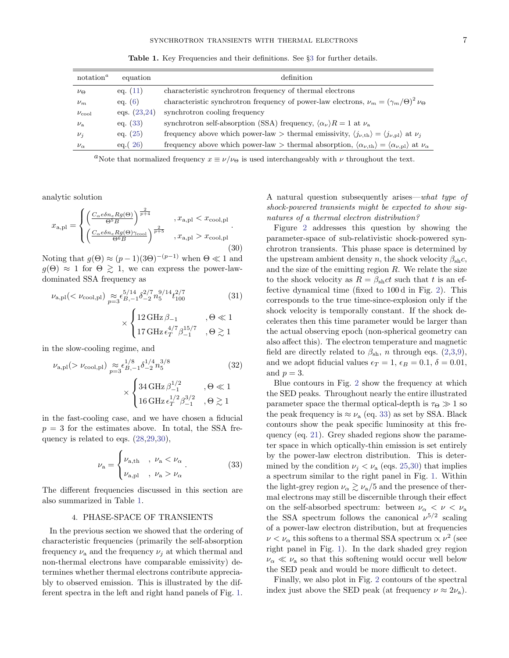| notation <sup><i>a</i></sup> | equation       | definition                                                                                                                                                  |
|------------------------------|----------------|-------------------------------------------------------------------------------------------------------------------------------------------------------------|
| $\nu_{\Theta}$               | eq. $(11)$     | characteristic synchrotron frequency of thermal electrons                                                                                                   |
| $\nu_m$                      | eq. $(6)$      | characteristic synchrotron frequency of power-law electrons, $\nu_m = (\gamma_m/\Theta)^2 \nu_\Theta$                                                       |
| $\nu_{\rm cool}$             | eqs. $(23,24)$ | synchrotron cooling frequency                                                                                                                               |
| $\nu_{\rm a}$                | eq. $(33)$     | synchrotron self-absorption (SSA) frequency, $\langle \alpha_{\nu} \rangle R = 1$ at $\nu_a$                                                                |
| $\nu_i$                      | eq. $(25)$     | frequency above which power-law > thermal emissivity, $\langle j_{\nu,th} \rangle = \langle j_{\nu,pl} \rangle$ at $\nu_j$                                  |
| $\nu_{\alpha}$               | eq. (26)       | frequency above which power-law > thermal absorption, $\langle \alpha_{\nu, \text{th}} \rangle = \langle \alpha_{\nu, \text{pl}} \rangle$ at $\nu_{\alpha}$ |

<span id="page-6-1"></span>Table 1. Key Frequencies and their definitions. See §[3](#page-3-1) for further details.

<span id="page-6-2"></span><sup>a</sup>Note that normalized frequency  $x \equiv \nu/\nu_{\Theta}$  is used interchangeably with  $\nu$  throughout the text.

analytic solution

$$
x_{\rm a,pl} = \begin{cases} \left(\frac{C_{\alpha}e\delta n_e Rg(\Theta)}{\Theta^5 B}\right)^{\frac{2}{p+4}} & , x_{\rm a,pl} < x_{\rm cool,pl} \\ \left(\frac{C_{\alpha}e\delta n_e Rg(\Theta)\gamma_{\rm cool}}{\Theta^6 B}\right)^{\frac{2}{p+5}} & , x_{\rm a,pl} > x_{\rm cool,pl} \end{cases} (30)
$$

Noting that  $g(\Theta) \approx (p-1)(3\Theta)^{-(p-1)}$  when  $\Theta \ll 1$  and  $g(\Theta) \approx 1$  for  $\Theta \geq 1$ , we can express the power-lawdominated SSA frequency as

$$
\nu_{\text{a,pl}}(<\nu_{\text{cool,pl}}) \underset{p=3}{\approx} \xi_{B,-1}^{5/14} \delta_{-2}^{2/7} n_5^{9/14} t_{100}^{2/7}
$$
(31)  

$$
\times \begin{cases} 12 \,\text{GHz} \,\beta_{-1} & , \Theta \ll 1 \\ 17 \,\text{GHz} \,\epsilon_T^{4/7} \beta_{-1}^{15/7} & , \Theta \gtrsim 1 \end{cases}
$$

in the slow-cooling regime, and

$$
\nu_{a,pl} (> \nu_{\text{cool,pl}}) \underset{p=3}{\approx} \epsilon_{B,-1}^{1/8} \delta_{-2}^{1/4} n_5^{3/8}
$$
(32)  

$$
\times \begin{cases} 34 \,\text{GHz} \,\beta_{-1}^{1/2} & , \Theta \ll 1 \\ 16 \,\text{GHz} \,\epsilon_T^{1/2} \beta_{-1}^{3/2} & , \Theta \gtrsim 1 \end{cases}
$$

in the fast-cooling case, and we have chosen a fiducial  $p = 3$  for the estimates above. In total, the SSA frequency is related to eqs. [\(28](#page-5-1)[,29,](#page-5-2)[30\)](#page-6-2),

<span id="page-6-3"></span>
$$
\nu_{\rm a} = \begin{cases} \nu_{\rm a, th} & , \nu_{\rm a} < \nu_{\alpha} \\ \nu_{\rm a, pl} & , \nu_{\rm a} > \nu_{\alpha} \end{cases} \tag{33}
$$

The different frequencies discussed in this section are also summarized in Table [1.](#page-6-1)

#### 4. PHASE-SPACE OF TRANSIENTS

<span id="page-6-0"></span>In the previous section we showed that the ordering of characteristic frequencies (primarily the self-absorption frequency  $\nu_a$  and the frequency  $\nu_i$  at which thermal and non-thermal electrons have comparable emissivity) determines whether thermal electrons contribute appreciably to observed emission. This is illustrated by the different spectra in the left and right hand panels of Fig. [1.](#page-4-0)

A natural question subsequently arises—what type of shock-powered transients might be expected to show signatures of a thermal electron distribution?

Figure [2](#page-7-0) addresses this question by showing the parameter-space of sub-relativistic shock-powered synchrotron transients. This phase space is determined by the upstream ambient density n, the shock velocity  $\beta_{\rm sh}c$ , and the size of the emitting region  $R$ . We relate the size to the shock velocity as  $R = \beta_{\rm sh}ct$  such that t is an effective dynamical time (fixed to 100 d in Fig. [2\)](#page-7-0). This corresponds to the true time-since-explosion only if the shock velocity is temporally constant. If the shock decelerates then this time parameter would be larger than the actual observing epoch (non-spherical geometry can also affect this). The electron temperature and magnetic field are directly related to  $\beta_{\rm sh}$ , n through eqs. [\(2,](#page-2-7)[3,](#page-2-8)[9\)](#page-2-9), and we adopt fiducial values  $\epsilon_T = 1, \epsilon_B = 0.1, \delta = 0.01$ , and  $p=3$ .

Blue contours in Fig. [2](#page-7-0) show the frequency at which the SED peaks. Throughout nearly the entire illustrated parameter space the thermal optical-depth is  $\tau_{\Theta} \gg 1$  so the peak frequency is  $\approx \nu_a$  (eq. [33\)](#page-6-3) as set by SSA. Black contours show the peak specific luminosity at this frequency (eq. [21\)](#page-3-6). Grey shaded regions show the parameter space in which optically-thin emission is set entirely by the power-law electron distribution. This is determined by the condition  $\nu_j < \nu_a$  (eqs. [25,](#page-5-3)[30\)](#page-6-2) that implies a spectrum similar to the right panel in Fig. [1.](#page-4-0) Within the light-grey region  $\nu_{\alpha} \gtrsim \nu_{\alpha}/5$  and the presence of thermal electrons may still be discernible through their effect on the self-absorbed spectrum: between  $\nu_{\alpha} < \nu < \nu_{\alpha}$ the SSA spectrum follows the canonical  $\nu^{5/2}$  scaling of a power-law electron distribution, but at frequencies  $\nu < \nu_{\alpha}$  this softens to a thermal SSA spectrum  $\propto \nu^2$  (see right panel in Fig. [1\)](#page-4-0). In the dark shaded grey region  $\nu_{\alpha} \ll \nu_{\alpha}$  so that this softening would occur well below the SED peak and would be more difficult to detect.

Finally, we also plot in Fig. [2](#page-7-0) contours of the spectral index just above the SED peak (at frequency  $\nu \approx 2\nu_a$ ).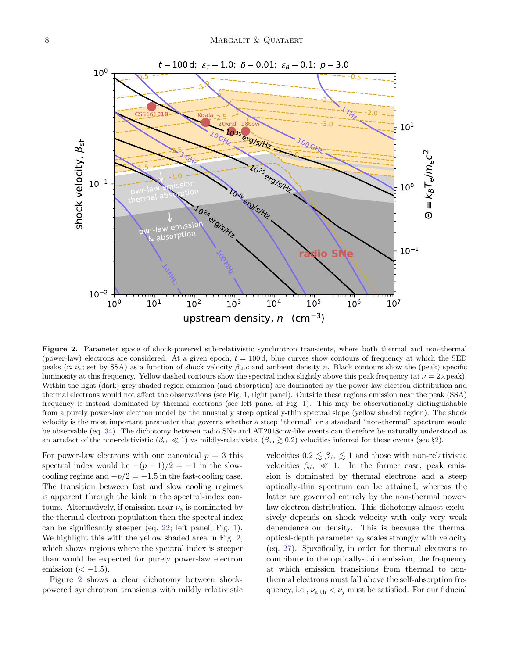

<span id="page-7-0"></span>Figure 2. Parameter space of shock-powered sub-relativistic synchrotron transients, where both thermal and non-thermal (power-law) electrons are considered. At a given epoch,  $t = 100 d$ , blue curves show contours of frequency at which the SED peaks ( $\approx \nu_a$ ; set by SSA) as a function of shock velocity  $\beta_{sh}c$  and ambient density n. Black contours show the (peak) specific luminosity at this frequency. Yellow dashed contours show the spectral index slightly above this peak frequency (at  $\nu = 2 \times$ peak). Within the light (dark) grey shaded region emission (and absorption) are dominated by the power-law electron distribution and thermal electrons would not affect the observations (see Fig. [1,](#page-4-0) right panel). Outside these regions emission near the peak (SSA) frequency is instead dominated by thermal electrons (see left panel of Fig. [1\)](#page-4-0). This may be observationally distinguishable from a purely power-law electron model by the unusually steep optically-thin spectral slope (yellow shaded region). The shock velocity is the most important parameter that governs whether a steep "thermal" or a standard "non-thermal" spectrum would be observable (eq. [34\)](#page-8-1). The dichotomy between radio SNe and AT2018cow-like events can therefore be naturally understood as an artefact of the non-relativistic  $(\beta_{\rm sh} \ll 1)$  vs mildly-relativistic  $(\beta_{\rm sh} \gtrsim 0.2)$  $(\beta_{\rm sh} \gtrsim 0.2)$  velocities inferred for these events (see §2).

For power-law electrons with our canonical  $p = 3$  this spectral index would be  $-(p-1)/2 = -1$  in the slowcooling regime and  $-p/2 = -1.5$  in the fast-cooling case. The transition between fast and slow cooling regimes is apparent through the kink in the spectral-index contours. Alternatively, if emission near  $\nu_a$  is dominated by the thermal electron population then the spectral index can be significantly steeper (eq. [22;](#page-4-1) left panel, Fig. [1\)](#page-4-0). We highlight this with the yellow shaded area in Fig. [2,](#page-7-0) which shows regions where the spectral index is steeper than would be expected for purely power-law electron emission  $( $-1.5$ ).$ 

Figure [2](#page-7-0) shows a clear dichotomy between shockpowered synchrotron transients with mildly relativistic velocities  $0.2 \lesssim \beta_{\rm sh} \lesssim 1$  and those with non-relativistic velocities  $\beta_{\rm sh} \ll 1$ . In the former case, peak emission is dominated by thermal electrons and a steep optically-thin spectrum can be attained, whereas the latter are governed entirely by the non-thermal powerlaw electron distribution. This dichotomy almost exclusively depends on shock velocity with only very weak dependence on density. This is because the thermal optical-depth parameter  $\tau_{\Theta}$  scales strongly with velocity (eq. [27\)](#page-5-6). Specifically, in order for thermal electrons to contribute to the optically-thin emission, the frequency at which emission transitions from thermal to nonthermal electrons must fall above the self-absorption frequency, i.e.,  $\nu_{a,th} < \nu_j$  must be satisfied. For our fiducial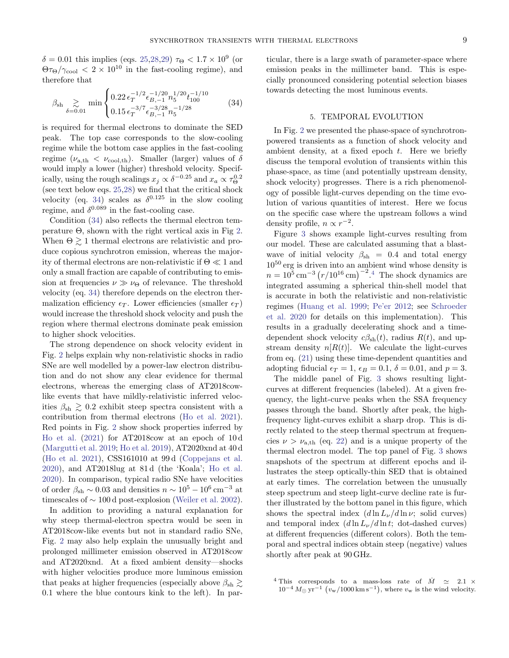$\delta = 0.01$  this implies (eqs. [25](#page-5-3)[,28,](#page-5-1)[29\)](#page-5-2)  $\tau_{\Theta} < 1.7 \times 10^9$  (or  $\Theta \tau_{\Theta}/\gamma_{\rm cool} < 2 \times 10^{10}$  in the fast-cooling regime), and therefore that

<span id="page-8-1"></span>
$$
\beta_{\rm sh} \sum_{\delta=0.01} \min \begin{cases} 0.22 \, \epsilon_T^{-1/2} \epsilon_{B,-1}^{-1/20} n_5^{1/20} t_{100}^{-1/10} \\ 0.15 \, \epsilon_T^{-3/7} \epsilon_{B,-1}^{-3/28} n_5^{-1/28} \end{cases} \tag{34}
$$

is required for thermal electrons to dominate the SED peak. The top case corresponds to the slow-cooling regime while the bottom case applies in the fast-cooling regime  $(\nu_{a,th} < \nu_{\text{cool,th}})$ . Smaller (larger) values of  $\delta$ would imply a lower (higher) threshold velocity. Specifically, using the rough scalings  $x_j \propto \delta^{-0.25}$  and  $x_a \propto \tau_{\Theta}^{0.25}$ (see text below eqs. [25,](#page-5-3)[28\)](#page-5-1) we find that the critical shock velocity (eq. [34\)](#page-8-1) scales as  $\delta^{0.125}$  in the slow cooling regime, and  $\delta^{0.089}$  in the fast-cooling case.

Condition [\(34\)](#page-8-1) also reflects the thermal electron temperature  $\Theta$ , shown with the right vertical axis in Fig [2.](#page-7-0) When  $\Theta \gtrsim 1$  thermal electrons are relativistic and produce copious synchrotron emission, whereas the majority of thermal electrons are non-relativistic if  $\Theta \ll 1$  and only a small fraction are capable of contributing to emission at frequencies  $\nu \gg \nu_{\Theta}$  of relevance. The threshold velocity (eq. [34\)](#page-8-1) therefore depends on the electron thermalization efficiency  $\epsilon_T$ . Lower efficiencies (smaller  $\epsilon_T$ ) would increase the threshold shock velocity and push the region where thermal electrons dominate peak emission to higher shock velocities.

The strong dependence on shock velocity evident in Fig. [2](#page-7-0) helps explain why non-relativistic shocks in radio SNe are well modelled by a power-law electron distribution and do not show any clear evidence for thermal electrons, whereas the emerging class of AT2018cowlike events that have mildly-relativistic inferred velocities  $\beta_{\rm sh} \geq 0.2$  exhibit steep spectra consistent with a contribution from thermal electrons [\(Ho et al.](#page-14-11) [2021\)](#page-14-11). Red points in Fig. [2](#page-7-0) show shock properties inferred by [Ho et al.](#page-14-11) [\(2021\)](#page-14-11) for AT2018cow at an epoch of 10 d [\(Margutti et al.](#page-14-7) [2019;](#page-14-7) [Ho et al.](#page-14-8) [2019\)](#page-14-8), AT2020xnd at 40 d [\(Ho et al.](#page-14-11) [2021\)](#page-14-11), CSS161010 at 99 d [\(Coppejans et al.](#page-13-5) [2020\)](#page-13-5), and AT2018lug at 81 d (the 'Koala'; [Ho et al.](#page-14-9) [2020\)](#page-14-9). In comparison, typical radio SNe have velocities of order  $\beta_{\rm sh} \sim 0.03$  and densities  $n \sim 10^5 - 10^6 \,\rm cm^{-3}$  at timescales of  $\sim 100 d$  post-explosion [\(Weiler et al.](#page-14-4) [2002\)](#page-14-4).

In addition to providing a natural explanation for why steep thermal-electron spectra would be seen in AT2018cow-like events but not in standard radio SNe, Fig. [2](#page-7-0) may also help explain the unusually bright and prolonged millimeter emission observed in AT2018cow and AT2020xnd. At a fixed ambient density—shocks with higher velocities produce more luminous emission that peaks at higher frequencies (especially above  $\beta_{\rm sh} \geq$ 0.1 where the blue contours kink to the left). In particular, there is a large swath of parameter-space where emission peaks in the millimeter band. This is especially pronounced considering potential selection biases towards detecting the most luminous events.

### 5. TEMPORAL EVOLUTION

<span id="page-8-0"></span>In Fig. [2](#page-7-0) we presented the phase-space of synchrotronpowered transients as a function of shock velocity and ambient density, at a fixed epoch  $t$ . Here we briefly discuss the temporal evolution of transients within this phase-space, as time (and potentially upstream density, shock velocity) progresses. There is a rich phenomenology of possible light-curves depending on the time evolution of various quantities of interest. Here we focus on the specific case where the upstream follows a wind density profile,  $n \propto r^{-2}$ .

Figure [3](#page-9-0) shows example light-curves resulting from our model. These are calculated assuming that a blastwave of initial velocity  $\beta_{\rm sh} = 0.4$  and total energy  $10^{50}$  erg is driven into an ambient wind whose density is  $n = 10^5 \,\mathrm{cm}^{-3} \left( r/10^{16} \,\mathrm{cm} \right)^{-2}.$ <sup>[4](#page-8-2)</sup> The shock dynamics are integrated assuming a spherical thin-shell model that is accurate in both the relativistic and non-relativistic regimes [\(Huang et al.](#page-14-22) [1999;](#page-14-22) [Pe'er](#page-14-23) [2012;](#page-14-23) see [Schroeder](#page-14-24) [et al.](#page-14-24) [2020](#page-14-24) for details on this implementation). This results in a gradually decelerating shock and a timedependent shock velocity  $c\beta_{sh}(t)$ , radius  $R(t)$ , and upstream density  $n[R(t)]$ . We calculate the light-curves from eq. [\(21\)](#page-3-6) using these time-dependent quantities and adopting fiducial  $\epsilon_T = 1$ ,  $\epsilon_B = 0.1$ ,  $\delta = 0.01$ , and  $p = 3$ .

The middle panel of Fig. [3](#page-9-0) shows resulting lightcurves at different frequencies (labeled). At a given frequency, the light-curve peaks when the SSA frequency passes through the band. Shortly after peak, the highfrequency light-curves exhibit a sharp drop. This is directly related to the steep thermal spectrum at frequencies  $\nu > \nu_{a,th}$  (eq. [22\)](#page-4-1) and is a unique property of the thermal electron model. The top panel of Fig. [3](#page-9-0) shows snapshots of the spectrum at different epochs and illustrates the steep optically-thin SED that is obtained at early times. The correlation between the unusually steep spectrum and steep light-curve decline rate is further illustrated by the bottom panel in this figure, which shows the spectral index  $(d \ln L_{\nu}/d \ln \nu)$ ; solid curves) and temporal index  $(d \ln L_{\nu}/d \ln t;$  dot-dashed curves) at different frequencies (different colors). Both the temporal and spectral indices obtain steep (negative) values shortly after peak at 90 GHz.

<span id="page-8-2"></span><sup>&</sup>lt;sup>4</sup> This corresponds to a mass-loss rate of  $\dot{M} \simeq 2.1 \times$  $10^{-4} M_{\odot} \text{ yr}^{-1}$  ( $v_{\text{w}}/1000 \text{ km s}^{-1}$ ), where  $v_{\text{w}}$  is the wind velocity.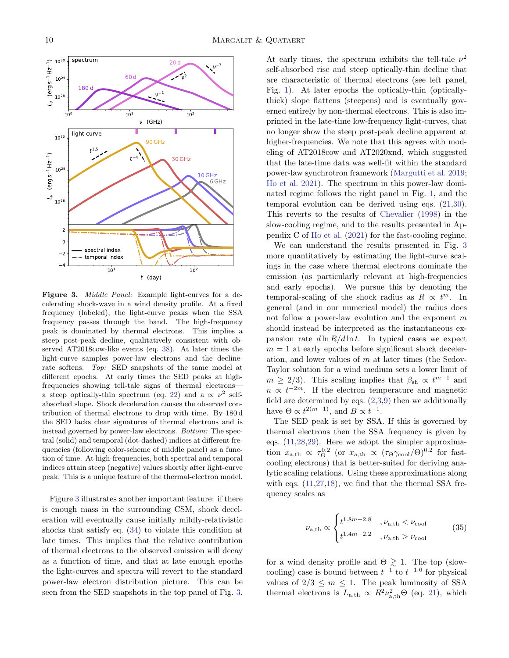

<span id="page-9-0"></span>Figure 3. *Middle Panel:* Example light-curves for a decelerating shock-wave in a wind density profile. At a fixed frequency (labeled), the light-curve peaks when the SSA frequency passes through the band. The high-frequency peak is dominated by thermal electrons. This implies a steep post-peak decline, qualitatively consistent with observed AT2018cow-like events (eq. [38\)](#page-10-1). At later times the light-curve samples power-law electrons and the declinerate softens. Top: SED snapshots of the same model at different epochs. At early times the SED peaks at highfrequencies showing tell-tale signs of thermal electrons— a steep optically-thin spectrum (eq. [22\)](#page-4-1) and a  $\propto \nu^2$  selfabsorbed slope. Shock deceleration causes the observed contribution of thermal electrons to drop with time. By 180 d the SED lacks clear signatures of thermal electrons and is instead governed by power-law electrons. Bottom: The spectral (solid) and temporal (dot-dashed) indices at different frequencies (following color-scheme of middle panel) as a function of time. At high-frequencies, both spectral and temporal indices attain steep (negative) values shortly after light-curve peak. This is a unique feature of the thermal-electron model.

Figure [3](#page-9-0) illustrates another important feature: if there is enough mass in the surrounding CSM, shock deceleration will eventually cause initially mildly-relativistic shocks that satisfy eq. [\(34\)](#page-8-1) to violate this condition at late times. This implies that the relative contribution of thermal electrons to the observed emission will decay as a function of time, and that at late enough epochs the light-curves and spectra will revert to the standard power-law electron distribution picture. This can be seen from the SED snapshots in the top panel of Fig. [3.](#page-9-0)

At early times, the spectrum exhibits the tell-tale  $\nu^2$ self-absorbed rise and steep optically-thin decline that are characteristic of thermal electrons (see left panel, Fig. [1\)](#page-4-0). At later epochs the optically-thin (opticallythick) slope flattens (steepens) and is eventually governed entirely by non-thermal electrons. This is also imprinted in the late-time low-frequency light-curves, that no longer show the steep post-peak decline apparent at higher-frequencies. We note that this agrees with modeling of AT2018cow and AT2020xnd, which suggested that the late-time data was well-fit within the standard power-law synchrotron framework [\(Margutti et al.](#page-14-7) [2019;](#page-14-7) [Ho et al.](#page-14-11) [2021\)](#page-14-11). The spectrum in this power-law dominated regime follows the right panel in Fig. [1,](#page-4-0) and the temporal evolution can be derived using eqs. [\(21,](#page-3-6)[30\)](#page-6-2). This reverts to the results of [Chevalier](#page-13-4) [\(1998\)](#page-13-4) in the slow-cooling regime, and to the results presented in Appendix C of [Ho et al.](#page-14-11) [\(2021\)](#page-14-11) for the fast-cooling regime.

We can understand the results presented in Fig. [3](#page-9-0) more quantitatively by estimating the light-curve scalings in the case where thermal electrons dominate the emission (as particularly relevant at high-frequencies and early epochs). We pursue this by denoting the temporal-scaling of the shock radius as  $R \propto t^m$ . In general (and in our numerical model) the radius does not follow a power-law evolution and the exponent  $m$ should instead be interpreted as the instantaneous expansion rate  $d \ln R/d \ln t$ . In typical cases we expect  $m = 1$  at early epochs before significant shock deceleration, and lower values of  $m$  at later times (the Sedov-Taylor solution for a wind medium sets a lower limit of  $m \geq 2/3$ ). This scaling implies that  $\beta_{\rm sh} \propto t^{m-1}$  and  $n \propto t^{-2m}$ . If the electron temperature and magnetic field are determined by eqs.  $(2,3,9)$  $(2,3,9)$  $(2,3,9)$  then we additionally have  $\Theta \propto t^{2(m-1)}$ , and  $B \propto t^{-1}$ .

The SED peak is set by SSA. If this is governed by thermal electrons then the SSA frequency is given by eqs. [\(11](#page-2-5)[,28](#page-5-1)[,29\)](#page-5-2). Here we adopt the simpler approximation  $x_{a,th} \propto \tau_{\Theta}^{0.2}$  (or  $x_{a,th} \propto (\tau_{\Theta} \gamma_{\text{cool}}/\Theta)^{0.2}$  for fastcooling electrons) that is better-suited for deriving analytic scaling relations. Using these approximations along with eqs.  $(11,27,18)$  $(11,27,18)$  $(11,27,18)$ , we find that the thermal SSA frequency scales as

<span id="page-9-1"></span>
$$
\nu_{a,th} \propto \begin{cases} t^{1.8m-2.8} & , \nu_{a,th} < \nu_{\text{cool}} \\ t^{1.4m-2.2} & , \nu_{a,th} > \nu_{\text{cool}} \end{cases}
$$
 (35)

for a wind density profile and  $\Theta \gtrsim 1$ . The top (slowcooling) case is bound between  $t^{-1}$  to  $t^{-1.6}$  for physical values of  $2/3 \leq m \leq 1$ . The peak luminosity of SSA thermal electrons is  $L_{a,th} \propto R^2 \nu_{a,th}^2 \Theta$  (eq. [21\)](#page-3-6), which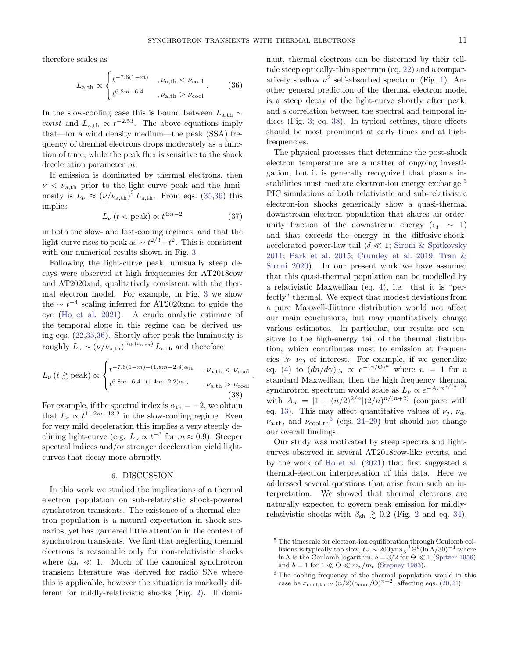<span id="page-10-1"></span>.

therefore scales as

<span id="page-10-2"></span>
$$
L_{\rm a,th} \propto \begin{cases} t^{-7.6(1-m)} & , \nu_{\rm a,th} < \nu_{\rm cool} \\ t^{6.8m - 6.4} & , \nu_{\rm a,th} > \nu_{\rm cool} \end{cases} . \tag{36}
$$

In the slow-cooling case this is bound between  $L_{\rm a,th} \sim$ const and  $L_{a,th} \propto t^{-2.53}$ . The above equations imply that—for a wind density medium—the peak (SSA) frequency of thermal electrons drops moderately as a function of time, while the peak flux is sensitive to the shock deceleration parameter m.

If emission is dominated by thermal electrons, then  $\nu < \nu_{\text{a,th}}$  prior to the light-curve peak and the luminosity is  $L_{\nu} \approx (\nu/\nu_{\rm a,th})^2 L_{\rm a,th}$ . From eqs. [\(35](#page-9-1)[,36\)](#page-10-2) this implies

$$
L_{\nu} \left( t < \text{peak} \right) \propto t^{4m-2} \tag{37}
$$

in both the slow- and fast-cooling regimes, and that the light-curve rises to peak as  $\sim t^{2/3}-t^2$ . This is consistent with our numerical results shown in Fig. [3.](#page-9-0)

Following the light-curve peak, unusually steep decays were observed at high frequencies for AT2018cow and AT2020xnd, qualitatively consistent with the thermal electron model. For example, in Fig. [3](#page-9-0) we show the  $\sim t^{-4}$  scaling inferred for AT2020xnd to guide the eye [\(Ho et al.](#page-14-11) [2021\)](#page-14-11). A crude analytic estimate of the temporal slope in this regime can be derived using eqs. [\(22,](#page-4-1)[35](#page-9-1)[,36\)](#page-10-2). Shortly after peak the luminosity is roughly  $L_{\nu} \sim (\nu/\nu_{\text{a},\text{th}})^{\alpha_{\text{th}}(\nu_{\text{a},\text{th}})} L_{\text{a},\text{th}}$  and therefore

$$
L_{\nu} (t \gtrsim \text{peak}) \propto \begin{cases} t^{-7.6(1-m)-(1.8m-2.8)\alpha_{\text{th}}} & , \nu_{\text{a},\text{th}} < \nu_{\text{cool}} \\ t^{6.8m-6.4-(1.4m-2.2)\alpha_{\text{th}}} & , \nu_{\text{a},\text{th}} > \nu_{\text{cool}} \end{cases}
$$
(38)

For example, if the spectral index is  $\alpha_{\text{th}} = -2$ , we obtain that  $L_{\nu} \propto t^{11.2m-13.2}$  in the slow-cooling regime. Even for very mild deceleration this implies a very steeply declining light-curve (e.g.  $L_{\nu} \propto t^{-3}$  for  $m \approx 0.9$ ). Steeper spectral indices and/or stronger deceleration yield lightcurves that decay more abruptly.

#### 6. DISCUSSION

<span id="page-10-0"></span>In this work we studied the implications of a thermal electron population on sub-relativistic shock-powered synchrotron transients. The existence of a thermal electron population is a natural expectation in shock scenarios, yet has garnered little attention in the context of synchrotron transients. We find that neglecting thermal electrons is reasonable only for non-relativistic shocks where  $\beta_{\rm sh} \ll 1$ . Much of the canonical synchrotron transient literature was derived for radio SNe where this is applicable, however the situation is markedly different for mildly-relativistic shocks (Fig. [2\)](#page-7-0). If dominant, thermal electrons can be discerned by their telltale steep optically-thin spectrum (eq. [22\)](#page-4-1) and a comparatively shallow  $\nu^2$  self-absorbed spectrum (Fig. [1\)](#page-4-0). Another general prediction of the thermal electron model is a steep decay of the light-curve shortly after peak, and a correlation between the spectral and temporal indices (Fig. [3;](#page-9-0) eq. [38\)](#page-10-1). In typical settings, these effects should be most prominent at early times and at highfrequencies.

The physical processes that determine the post-shock electron temperature are a matter of ongoing investigation, but it is generally recognized that plasma in-stabilities must mediate electron-ion energy exchange.<sup>[5](#page-10-3)</sup> PIC simulations of both relativistic and sub-relativistic electron-ion shocks generically show a quasi-thermal downstream electron population that shares an orderunity fraction of the downstream energy ( $\epsilon_T \sim 1$ ) and that exceeds the energy in the diffusive-shockaccelerated power-law tail ( $\delta \ll 1$ ; [Sironi & Spitkovsky](#page-14-2) [2011;](#page-14-2) [Park et al.](#page-14-3) [2015;](#page-14-3) [Crumley et al.](#page-13-7) [2019;](#page-13-7) [Tran &](#page-14-25) [Sironi](#page-14-25) [2020\)](#page-14-25). In our present work we have assumed that this quasi-thermal population can be modelled by a relativistic Maxwellian (eq. [4\)](#page-2-10), i.e. that it is "perfectly" thermal. We expect that modest deviations from a pure Maxwell-Jüttner distribution would not affect our main conclusions, but may quantitatively change various estimates. In particular, our results are sensitive to the high-energy tail of the thermal distribution, which contributes most to emission at frequencies  $\gg \nu_{\Theta}$  of interest. For example, if we generalize eq. [\(4\)](#page-2-10) to  $(dn/d\gamma)_{\text{th}} \propto e^{-(\gamma/\Theta)^n}$  where  $n = 1$  for a standard Maxwellian, then the high frequency thermal synchrotron spectrum would scale as  $L_{\nu} \propto e^{-A_n x^{n/(n+2)}}$ with  $A_n = [1 + (n/2)^{2/n}](2/n)^{n/(n+2)}$  (compare with eq. [13\)](#page-2-2). This may affect quantitative values of  $\nu_j$ ,  $\nu_\alpha$ ,  $\nu_{a,th}$ , and  $\nu_{\text{cool,th}}$ <sup>[6](#page-10-4)</sup> (eqs. [24](#page-5-5)[–29\)](#page-5-2) but should not change our overall findings.

Our study was motivated by steep spectra and lightcurves observed in several AT2018cow-like events, and by the work of [Ho et al.](#page-14-11) [\(2021\)](#page-14-11) that first suggested a thermal-electron interpretation of this data. Here we addressed several questions that arise from such an interpretation. We showed that thermal electrons are naturally expected to govern peak emission for mildlyrelativistic shocks with  $\beta_{\rm sh} \geq 0.2$  $\beta_{\rm sh} \geq 0.2$  (Fig. 2 and eq. [34\)](#page-8-1).

<span id="page-10-3"></span><sup>5</sup> The timescale for electron-ion equilibration through Coulomb collisions is typically too slow,  $t_{\text{ei}} \sim 200 \text{ yr} n_5^{-1} \Theta^b (\ln \Lambda/30)^{-1}$  where ln Λ is the Coulomb logarithm,  $b = 3/2$  for  $\Theta \ll 1$  [\(Spitzer](#page-14-26) [1956\)](#page-14-26) and  $b = 1$  for  $1 \ll \Theta \ll m_p/m_e$  [\(Stepney](#page-14-27) [1983\)](#page-14-27).

<span id="page-10-4"></span><sup>6</sup> The cooling frequency of the thermal population would in this case be  $x_{\text{cool,th}} \sim (n/2)(\gamma_{\text{cool}}/\Theta)^{n+2}$ , affecting eqs. [\(20,](#page-3-5)[24\)](#page-5-5).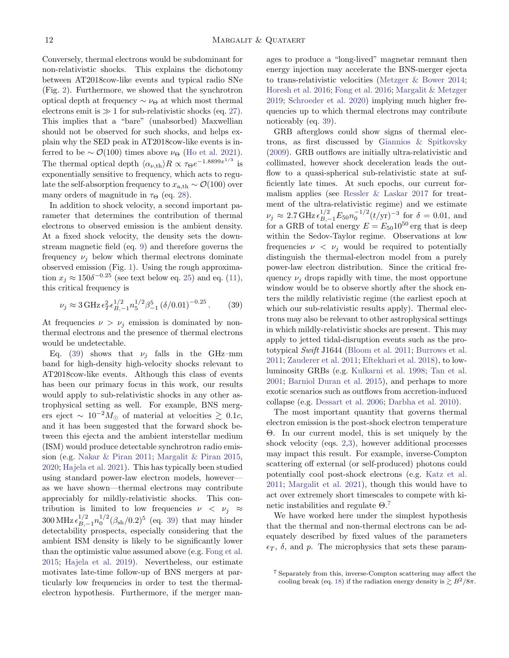Conversely, thermal electrons would be subdominant for non-relativistic shocks. This explains the dichotomy between AT2018cow-like events and typical radio SNe (Fig. [2\)](#page-7-0). Furthermore, we showed that the synchrotron optical depth at frequency  $\sim \nu_{\Theta}$  at which most thermal electrons emit is  $\gg 1$  for sub-relativistic shocks (eq. [27\)](#page-5-6). This implies that a "bare" (unabsorbed) Maxwellian should not be observed for such shocks, and helps explain why the SED peak in AT2018cow-like events is inferred to be  $\sim \mathcal{O}(100)$  times above  $\nu_{\Theta}$  [\(Ho et al.](#page-14-11) [2021\)](#page-14-11). The thermal optical depth  $\langle \alpha_{\nu,th} \rangle R \propto \tau_{\Theta} e^{-1.8899 x^{1/3}}$  is exponentially sensitive to frequency, which acts to regulate the self-absorption frequency to  $x_{a,th} \sim \mathcal{O}(100)$  over many orders of magnitude in  $\tau_{\Theta}$  (eq. [28\)](#page-5-1).

In addition to shock velocity, a second important parameter that determines the contribution of thermal electrons to observed emission is the ambient density. At a fixed shock velocity, the density sets the downstream magnetic field (eq. [9\)](#page-2-9) and therefore governs the frequency  $\nu_i$  below which thermal electrons dominate observed emission (Fig. [1\)](#page-4-0). Using the rough approximation  $x_j \approx 150\delta^{-0.25}$  (see text below eq. [25\)](#page-5-3) and eq. [\(11\)](#page-2-5), this critical frequency is

<span id="page-11-0"></span>
$$
\nu_j \approx 3 \,\text{GHz} \,\epsilon_T^2 \epsilon_{B,-1}^{1/2} n_5^{1/2} \beta_{-1}^5 \left(\delta/0.01\right)^{-0.25}.\tag{39}
$$

At frequencies  $\nu > \nu_j$  emission is dominated by nonthermal electrons and the presence of thermal electrons would be undetectable.

Eq. [\(39\)](#page-11-0) shows that  $\nu_i$  falls in the GHz–mm band for high-density high-velocity shocks relevant to AT2018cow-like events. Although this class of events has been our primary focus in this work, our results would apply to sub-relativistic shocks in any other astrophysical setting as well. For example, BNS mergers eject ~  $10^{-2} M_{\odot}$  of material at velocities  $\gtrsim 0.1c$ , and it has been suggested that the forward shock between this ejecta and the ambient interstellar medium (ISM) would produce detectable synchrotron radio emission (e.g. [Nakar & Piran](#page-14-28) [2011;](#page-14-28) [Margalit & Piran](#page-14-29) [2015,](#page-14-29) [2020;](#page-14-30) [Hajela et al.](#page-14-31) [2021\)](#page-14-31). This has typically been studied using standard power-law electron models, however as we have shown—thermal electrons may contribute appreciably for mildly-relativistic shocks. This contribution is limited to low frequencies  $\nu \langle \nu_i \rangle \approx$  $300 \,\text{MHz} \, \epsilon_{B,-1}^{1/2} n_0^{1/2} (\beta_{\text{sh}}/0.2)^5 \, (\text{eq. 39}) \text{ that may hinder}$ detectability prospects, especially considering that the ambient ISM density is likely to be significantly lower than the optimistic value assumed above (e.g. [Fong et al.](#page-14-32) [2015;](#page-14-32) [Hajela et al.](#page-14-33) [2019\)](#page-14-33). Nevertheless, our estimate motivates late-time follow-up of BNS mergers at particularly low frequencies in order to test the thermalelectron hypothesis. Furthermore, if the merger manages to produce a "long-lived" magnetar remnant then energy injection may accelerate the BNS-merger ejecta to trans-relativistic velocities [\(Metzger & Bower](#page-14-34) [2014;](#page-14-34) [Horesh et al.](#page-14-35) [2016;](#page-14-35) [Fong et al.](#page-14-36) [2016;](#page-14-36) [Margalit & Metzger](#page-14-37) [2019;](#page-14-37) [Schroeder et al.](#page-14-24) [2020\)](#page-14-24) implying much higher frequencies up to which thermal electrons may contribute noticeably (eq. [39\)](#page-11-0).

GRB afterglows could show signs of thermal electrons, as first discussed by [Giannios & Spitkovsky](#page-14-13) [\(2009\)](#page-14-13). GRB outflows are initially ultra-relativistic and collimated, however shock deceleration leads the outflow to a quasi-spherical sub-relativistic state at sufficiently late times. At such epochs, our current formalism applies (see [Ressler & Laskar](#page-14-14) [2017](#page-14-14) for treatment of the ultra-relativistic regime) and we estimate  $\nu_j \approx 2.7 \,\text{GHz} \,\epsilon_{B,-1}^{1/2} E_{50} n_0^{-1/2} (t/\text{yr})^{-3} \text{ for } \delta = 0.01, \text{ and}$ for a GRB of total energy  $E = E_{50} 10^{50}$  erg that is deep within the Sedov-Taylor regime. Observations at low frequencies  $\nu \langle \nu_j \rangle$  would be required to potentially distinguish the thermal-electron model from a purely power-law electron distribution. Since the critical frequency  $\nu_i$  drops rapidly with time, the most opportune window would be to observe shortly after the shock enters the mildly relativistic regime (the earliest epoch at which our sub-relativistic results apply). Thermal electrons may also be relevant to other astrophysical settings in which mildly-relativistic shocks are present. This may apply to jetted tidal-disruption events such as the prototypical Swift J1644 [\(Bloom et al.](#page-13-8) [2011;](#page-13-8) [Burrows et al.](#page-13-9) [2011;](#page-13-9) [Zauderer et al.](#page-14-38) [2011;](#page-14-38) [Eftekhari et al.](#page-14-39) [2018\)](#page-14-39), to lowluminosity GRBs (e.g. [Kulkarni et al.](#page-14-40) [1998;](#page-14-40) [Tan et al.](#page-14-41) [2001;](#page-14-41) [Barniol Duran et al.](#page-13-10) [2015\)](#page-13-10), and perhaps to more exotic scenarios such as outflows from accretion-induced collapse (e.g. [Dessart et al.](#page-13-11) [2006;](#page-13-11) [Darbha et al.](#page-13-12) [2010\)](#page-13-12).

The most important quantity that governs thermal electron emission is the post-shock electron temperature Θ. In our current model, this is set uniquely by the shock velocity (eqs. [2,](#page-2-7)[3\)](#page-2-8), however additional processes may impact this result. For example, inverse-Compton scattering off external (or self-produced) photons could potentially cool post-shock electrons (e.g. [Katz et al.](#page-14-42) [2011;](#page-14-42) [Margalit et al.](#page-14-19) [2021\)](#page-14-19), though this would have to act over extremely short timescales to compete with kinetic instabilities and regulate  $\Theta$ <sup>[7](#page-11-1)</sup>

We have worked here under the simplest hypothesis that the thermal and non-thermal electrons can be adequately described by fixed values of the parameters  $\epsilon_T$ ,  $\delta$ , and p. The microphysics that sets these param-

<span id="page-11-1"></span><sup>7</sup> Separately from this, inverse-Compton scattering may affect the cooling break (eq. [18\)](#page-3-7) if the radiation energy density is  $\geq B^2/8\pi$ .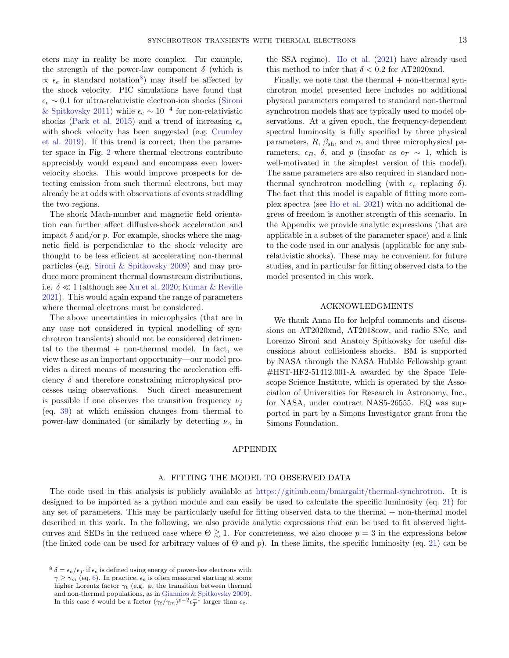eters may in reality be more complex. For example, the strength of the power-law component  $\delta$  (which is  $\propto$   $\epsilon_e$  in standard notation<sup>[8](#page-12-0)</sup>) may itself be affected by the shock velocity. PIC simulations have found that  $\epsilon_e \sim 0.1$  for ultra-relativistic electron-ion shocks [\(Sironi](#page-14-2) [& Spitkovsky](#page-14-2) [2011\)](#page-14-2) while  $\epsilon_e \sim 10^{-4}$  for non-relativistic shocks [\(Park et al.](#page-14-3) [2015\)](#page-14-3) and a trend of increasing  $\epsilon_e$ with shock velocity has been suggested (e.g. [Crumley](#page-13-7) [et al.](#page-13-7) [2019\)](#page-13-7). If this trend is correct, then the parameter space in Fig. [2](#page-7-0) where thermal electrons contribute appreciably would expand and encompass even lowervelocity shocks. This would improve prospects for detecting emission from such thermal electrons, but may already be at odds with observations of events straddling the two regions.

The shock Mach-number and magnetic field orientation can further affect diffusive-shock acceleration and impact  $\delta$  and/or p. For example, shocks where the magnetic field is perpendicular to the shock velocity are thought to be less efficient at accelerating non-thermal particles (e.g. [Sironi & Spitkovsky](#page-14-1) [2009\)](#page-14-1) and may produce more prominent thermal downstream distributions, i.e.  $\delta \ll 1$  (although see [Xu et al.](#page-14-43) [2020;](#page-14-43) [Kumar & Reville](#page-14-44) [2021\)](#page-14-44). This would again expand the range of parameters where thermal electrons must be considered.

The above uncertainties in microphysics (that are in any case not considered in typical modelling of synchrotron transients) should not be considered detrimental to the thermal  $+$  non-thermal model. In fact, we view these as an important opportunity—our model provides a direct means of measuring the acceleration efficiency  $\delta$  and therefore constraining microphysical processes using observations. Such direct measurement is possible if one observes the transition frequency  $\nu_i$ (eq. [39\)](#page-11-0) at which emission changes from thermal to power-law dominated (or similarly by detecting  $\nu_{\alpha}$  in the SSA regime). [Ho et al.](#page-14-11) [\(2021\)](#page-14-11) have already used this method to infer that  $\delta < 0.2$  for AT2020xnd.

Finally, we note that the thermal  $+$  non-thermal synchrotron model presented here includes no additional physical parameters compared to standard non-thermal synchrotron models that are typically used to model observations. At a given epoch, the frequency-dependent spectral luminosity is fully specified by three physical parameters,  $R$ ,  $\beta_{\rm sh}$ , and  $n$ , and three microphysical parameters,  $\epsilon_B$ ,  $\delta$ , and p (insofar as  $\epsilon_T \sim 1$ , which is well-motivated in the simplest version of this model). The same parameters are also required in standard nonthermal synchrotron modelling (with  $\epsilon_e$  replacing  $\delta$ ). The fact that this model is capable of fitting more complex spectra (see [Ho et al.](#page-14-11) [2021\)](#page-14-11) with no additional degrees of freedom is another strength of this scenario. In the Appendix we provide analytic expressions (that are applicable in a subset of the parameter space) and a link to the code used in our analysis (applicable for any subrelativistic shocks). These may be convenient for future studies, and in particular for fitting observed data to the model presented in this work.

# ACKNOWLEDGMENTS

We thank Anna Ho for helpful comments and discussions on AT2020xnd, AT2018cow, and radio SNe, and Lorenzo Sironi and Anatoly Spitkovsky for useful discussions about collisionless shocks. BM is supported by NASA through the NASA Hubble Fellowship grant #HST-HF2-51412.001-A awarded by the Space Telescope Science Institute, which is operated by the Association of Universities for Research in Astronomy, Inc., for NASA, under contract NAS5-26555. EQ was supported in part by a Simons Investigator grant from the Simons Foundation.

### APPENDIX

#### A. FITTING THE MODEL TO OBSERVED DATA

The code used in this analysis is publicly available at [https://github.com/bmargalit/thermal-synchrotron.](https://github.com/bmargalit/thermal-synchrotron) It is designed to be imported as a python module and can easily be used to calculate the specific luminosity (eq. [21\)](#page-3-6) for any set of parameters. This may be particularly useful for fitting observed data to the thermal + non-thermal model described in this work. In the following, we also provide analytic expressions that can be used to fit observed lightcurves and SEDs in the reduced case where  $\Theta \gtrsim 1$ . For concreteness, we also choose  $p = 3$  in the expressions below (the linked code can be used for arbitrary values of  $\Theta$  and p). In these limits, the specific luminosity (eq. [21\)](#page-3-6) can be

<span id="page-12-0"></span><sup>&</sup>lt;sup>8</sup>  $\delta = \epsilon_e/\epsilon_T$  if  $\epsilon_e$  is defined using energy of power-law electrons with  $\gamma \geq \gamma_m$  (eq. [6\)](#page-2-6). In practice,  $\epsilon_e$  is often measured starting at some higher Lorentz factor  $\gamma_t$  (e.g. at the transition between thermal and non-thermal populations, as in [Giannios & Spitkovsky](#page-14-13) [2009\)](#page-14-13). In this case  $\delta$  would be a factor  $(\gamma_t/\gamma_m)^{p-2} \epsilon_T^{-1}$  larger than  $\epsilon_e$ .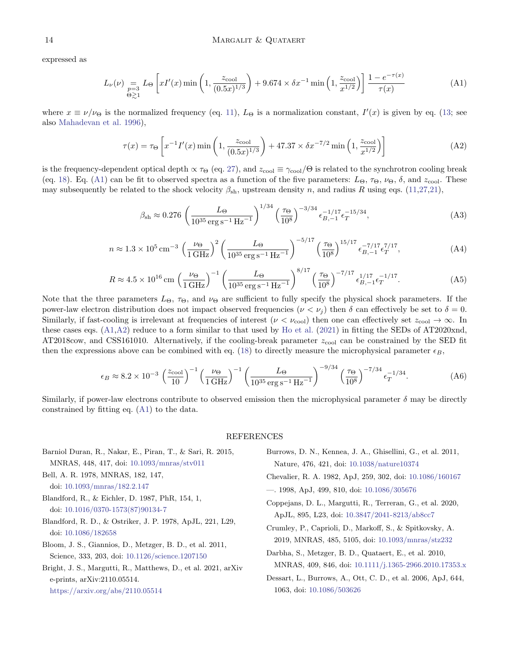expressed as

<span id="page-13-13"></span>
$$
L_{\nu}(\nu) = L_{\Theta} \left[ xI'(x) \min\left(1, \frac{z_{\text{cool}}}{(0.5x)^{1/3}}\right) + 9.674 \times \delta x^{-1} \min\left(1, \frac{z_{\text{cool}}}{x^{1/2}}\right) \right] \frac{1 - e^{-\tau(x)}}{\tau(x)}
$$
(A1)

where  $x \equiv \nu/\nu_{\Theta}$  is the normalized frequency (eq. [11\)](#page-2-5),  $L_{\Theta}$  is a normalization constant,  $I'(x)$  is given by eq. [\(13;](#page-2-2) see also [Mahadevan et al.](#page-14-17) [1996\)](#page-14-17),

<span id="page-13-14"></span>
$$
\tau(x) = \tau_{\Theta} \left[ x^{-1} I'(x) \min \left( 1, \frac{z_{\text{cool}}}{(0.5x)^{1/3}} \right) + 47.37 \times \delta x^{-7/2} \min \left( 1, \frac{z_{\text{cool}}}{x^{1/2}} \right) \right]
$$
(A2)

is the frequency-dependent optical depth  $\propto \tau_{\Theta}$  (eq. [27\)](#page-5-6), and  $z_{\rm cool} \equiv \gamma_{\rm cool}/\Theta$  is related to the synchrotron cooling break (eq. [18\)](#page-3-7). Eq. [\(A1\)](#page-13-13) can be fit to observed spectra as a function of the five parameters:  $L_{\Theta}$ ,  $\tau_{\Theta}$ ,  $\nu_{\Theta}$ ,  $\delta$ , and  $z_{\text{cool}}$ . These may subsequently be related to the shock velocity  $\beta_{\rm sh}$ , upstream density n, and radius R using eqs. [\(11](#page-2-5)[,27](#page-5-6)[,21\)](#page-3-6),

$$
\beta_{\rm sh} \approx 0.276 \left( \frac{L_{\Theta}}{10^{35} \,\rm erg \,s^{-1} \,Hz^{-1}} \right)^{1/34} \left( \frac{\tau_{\Theta}}{10^8} \right)^{-3/34} \epsilon_{B,-1}^{-1/17} \epsilon_T^{-15/34},\tag{A3}
$$

$$
n \approx 1.3 \times 10^5 \,\mathrm{cm}^{-3} \,\left(\frac{\nu_{\Theta}}{1 \,\mathrm{GHz}}\right)^2 \left(\frac{L_{\Theta}}{10^{35} \,\mathrm{erg\,s}^{-1} \,\mathrm{Hz}^{-1}}\right)^{-5/17} \left(\frac{\tau_{\Theta}}{10^8}\right)^{15/17} \epsilon_{B,-1}^{-7/17} \epsilon_T^{7/17},\tag{A4}
$$

$$
R \approx 4.5 \times 10^{16} \,\mathrm{cm} \left(\frac{\nu_{\Theta}}{1 \,\mathrm{GHz}}\right)^{-1} \left(\frac{L_{\Theta}}{10^{35} \,\mathrm{erg} \,\mathrm{s}^{-1} \,\mathrm{Hz}^{-1}}\right)^{8/17} \left(\frac{\tau_{\Theta}}{10^8}\right)^{-7/17} \epsilon_{B,-1}^{1/17} \epsilon_T^{-1/17}.\tag{A5}
$$

Note that the three parameters  $L_{\Theta}$ ,  $\tau_{\Theta}$ , and  $\nu_{\Theta}$  are sufficient to fully specify the physical shock parameters. If the power-law electron distribution does not impact observed frequencies  $(\nu < \nu_i)$  then  $\delta$  can effectively be set to  $\delta = 0$ . Similarly, if fast-cooling is irrelevant at frequencies of interest ( $\nu < \nu_{\rm cool}$ ) then one can effectively set  $z_{\rm cool} \to \infty$ . In these cases eqs.  $(A1, A2)$  reduce to a form similar to that used by [Ho et al.](#page-14-11)  $(2021)$  in fitting the SEDs of AT2020xnd,  $AT2018\text{cow},$  and CSS161010. Alternatively, if the cooling-break parameter  $z_{\text{cool}}$  can be constrained by the SED fit then the expressions above can be combined with eq. [\(18\)](#page-3-7) to directly measure the microphysical parameter  $\epsilon_B$ ,

$$
\epsilon_B \approx 8.2 \times 10^{-3} \left(\frac{z_{\text{cool}}}{10}\right)^{-1} \left(\frac{\nu_{\Theta}}{1 \text{ GHz}}\right)^{-1} \left(\frac{L_{\Theta}}{10^{35} \text{ erg s}^{-1} \text{ Hz}^{-1}}\right)^{-9/34} \left(\frac{\tau_{\Theta}}{10^8}\right)^{-7/34} \epsilon_T^{-1/34}.
$$
 (A6)

Similarly, if power-law electrons contribute to observed emission then the microphysical parameter  $\delta$  may be directly constrained by fitting eq. [\(A1\)](#page-13-13) to the data.

## <span id="page-13-12"></span><span id="page-13-11"></span><span id="page-13-9"></span><span id="page-13-7"></span><span id="page-13-5"></span><span id="page-13-4"></span><span id="page-13-3"></span>REFERENCES

<span id="page-13-10"></span><span id="page-13-8"></span><span id="page-13-6"></span><span id="page-13-2"></span><span id="page-13-1"></span><span id="page-13-0"></span>Barniol Duran, R., Nakar, E., Piran, T., & Sari, R. 2015, MNRAS, 448, 417, doi: [10.1093/mnras/stv011](http://doi.org/10.1093/mnras/stv011) Bell, A. R. 1978, MNRAS, 182, 147, doi: [10.1093/mnras/182.2.147](http://doi.org/10.1093/mnras/182.2.147) Blandford, R., & Eichler, D. 1987, PhR, 154, 1, doi: [10.1016/0370-1573\(87\)90134-7](http://doi.org/10.1016/0370-1573(87)90134-7) Blandford, R. D., & Ostriker, J. P. 1978, ApJL, 221, L29, doi: [10.1086/182658](http://doi.org/10.1086/182658) Bloom, J. S., Giannios, D., Metzger, B. D., et al. 2011, Science, 333, 203, doi: [10.1126/science.1207150](http://doi.org/10.1126/science.1207150) Bright, J. S., Margutti, R., Matthews, D., et al. 2021, arXiv e-prints, arXiv:2110.05514. <https://arxiv.org/abs/2110.05514> Burrows, D. N., Kennea, J. A., Ghisellini, G., et al. 2011, Nature, 476, 421, doi: [10.1038/nature10374](http://doi.org/10.1038/nature10374) Chevalier, R. A. 1982, ApJ, 259, 302, doi: [10.1086/160167](http://doi.org/10.1086/160167) —. 1998, ApJ, 499, 810, doi: [10.1086/305676](http://doi.org/10.1086/305676) Coppejans, D. L., Margutti, R., Terreran, G., et al. 2020, ApJL, 895, L23, doi: [10.3847/2041-8213/ab8cc7](http://doi.org/10.3847/2041-8213/ab8cc7) Crumley, P., Caprioli, D., Markoff, S., & Spitkovsky, A. 2019, MNRAS, 485, 5105, doi: [10.1093/mnras/stz232](http://doi.org/10.1093/mnras/stz232) Darbha, S., Metzger, B. D., Quataert, E., et al. 2010, MNRAS, 409, 846, doi: [10.1111/j.1365-2966.2010.17353.x](http://doi.org/10.1111/j.1365-2966.2010.17353.x) Dessart, L., Burrows, A., Ott, C. D., et al. 2006, ApJ, 644, 1063, doi: [10.1086/503626](http://doi.org/10.1086/503626)